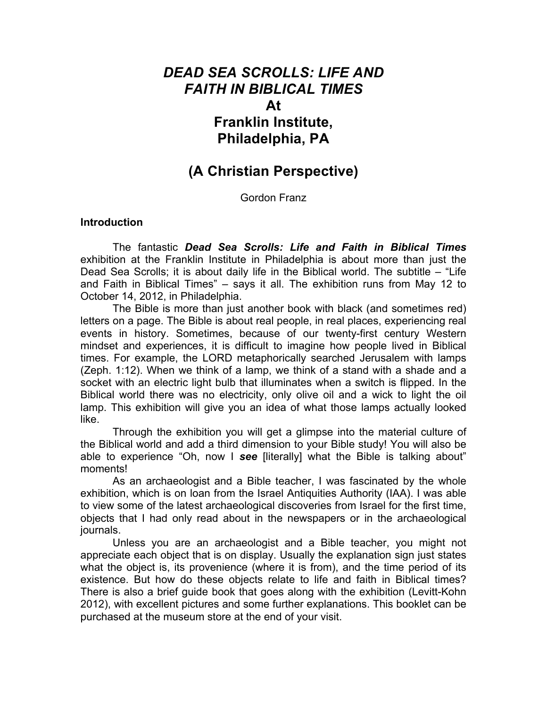# *DEAD SEA SCROLLS: LIFE AND FAITH IN BIBLICAL TIMES* **At Franklin Institute, Philadelphia, PA**

## **(A Christian Perspective)**

Gordon Franz

#### **Introduction**

The fantastic *Dead Sea Scrolls: Life and Faith in Biblical Times*  exhibition at the Franklin Institute in Philadelphia is about more than just the Dead Sea Scrolls; it is about daily life in the Biblical world. The subtitle – "Life and Faith in Biblical Times" – says it all. The exhibition runs from May 12 to October 14, 2012, in Philadelphia.

The Bible is more than just another book with black (and sometimes red) letters on a page. The Bible is about real people, in real places, experiencing real events in history. Sometimes, because of our twenty-first century Western mindset and experiences, it is difficult to imagine how people lived in Biblical times. For example, the LORD metaphorically searched Jerusalem with lamps (Zeph. 1:12). When we think of a lamp, we think of a stand with a shade and a socket with an electric light bulb that illuminates when a switch is flipped. In the Biblical world there was no electricity, only olive oil and a wick to light the oil lamp. This exhibition will give you an idea of what those lamps actually looked like.

Through the exhibition you will get a glimpse into the material culture of the Biblical world and add a third dimension to your Bible study! You will also be able to experience "Oh, now I *see* [literally] what the Bible is talking about" moments!

As an archaeologist and a Bible teacher, I was fascinated by the whole exhibition, which is on loan from the Israel Antiquities Authority (IAA). I was able to view some of the latest archaeological discoveries from Israel for the first time, objects that I had only read about in the newspapers or in the archaeological journals.

Unless you are an archaeologist and a Bible teacher, you might not appreciate each object that is on display. Usually the explanation sign just states what the object is, its provenience (where it is from), and the time period of its existence. But how do these objects relate to life and faith in Biblical times? There is also a brief guide book that goes along with the exhibition (Levitt-Kohn 2012), with excellent pictures and some further explanations. This booklet can be purchased at the museum store at the end of your visit.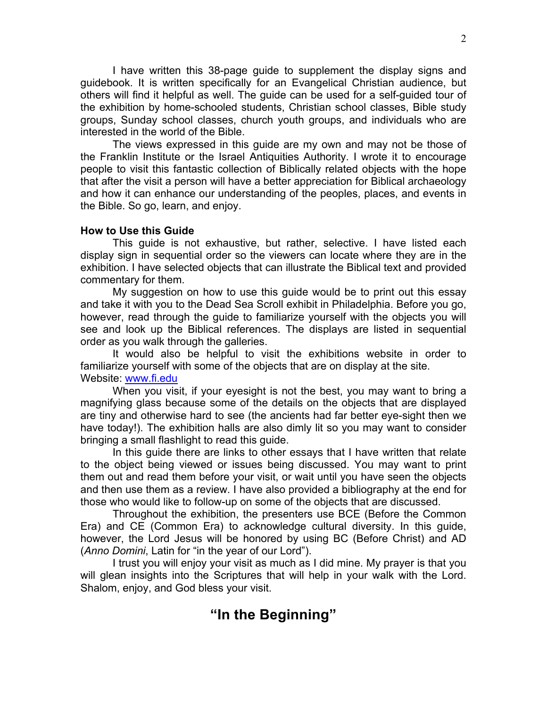I have written this 38-page guide to supplement the display signs and guidebook. It is written specifically for an Evangelical Christian audience, but others will find it helpful as well. The guide can be used for a self-guided tour of the exhibition by home-schooled students, Christian school classes, Bible study groups, Sunday school classes, church youth groups, and individuals who are interested in the world of the Bible.

The views expressed in this guide are my own and may not be those of the Franklin Institute or the Israel Antiquities Authority. I wrote it to encourage people to visit this fantastic collection of Biblically related objects with the hope that after the visit a person will have a better appreciation for Biblical archaeology and how it can enhance our understanding of the peoples, places, and events in the Bible. So go, learn, and enjoy.

#### **How to Use this Guide**

This guide is not exhaustive, but rather, selective. I have listed each display sign in sequential order so the viewers can locate where they are in the exhibition. I have selected objects that can illustrate the Biblical text and provided commentary for them.

My suggestion on how to use this guide would be to print out this essay and take it with you to the Dead Sea Scroll exhibit in Philadelphia. Before you go, however, read through the guide to familiarize yourself with the objects you will see and look up the Biblical references. The displays are listed in sequential order as you walk through the galleries.

It would also be helpful to visit the exhibitions website in order to familiarize yourself with some of the objects that are on display at the site. Website: www.fi.edu

When you visit, if your eyesight is not the best, you may want to bring a magnifying glass because some of the details on the objects that are displayed are tiny and otherwise hard to see (the ancients had far better eye-sight then we have today!). The exhibition halls are also dimly lit so you may want to consider bringing a small flashlight to read this guide.

In this guide there are links to other essays that I have written that relate to the object being viewed or issues being discussed. You may want to print them out and read them before your visit, or wait until you have seen the objects and then use them as a review. I have also provided a bibliography at the end for those who would like to follow-up on some of the objects that are discussed.

Throughout the exhibition, the presenters use BCE (Before the Common Era) and CE (Common Era) to acknowledge cultural diversity. In this guide, however, the Lord Jesus will be honored by using BC (Before Christ) and AD (*Anno Domini*, Latin for "in the year of our Lord").

I trust you will enjoy your visit as much as I did mine. My prayer is that you will glean insights into the Scriptures that will help in your walk with the Lord. Shalom, enjoy, and God bless your visit.

# **"In the Beginning"**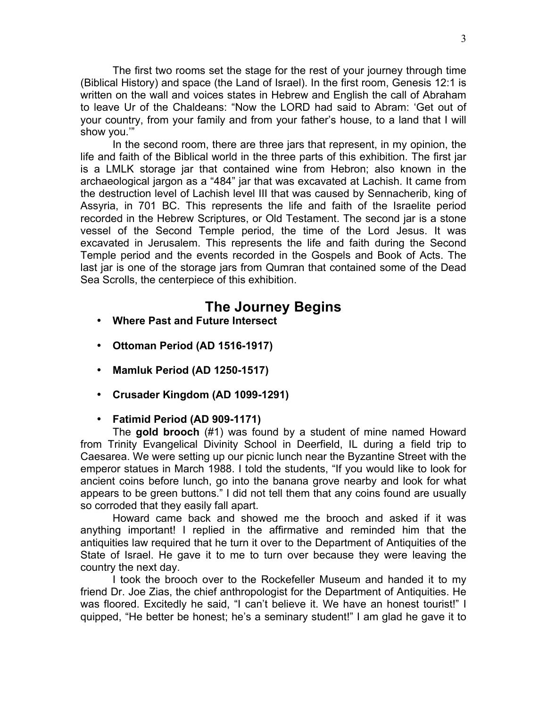The first two rooms set the stage for the rest of your journey through time (Biblical History) and space (the Land of Israel). In the first room, Genesis 12:1 is written on the wall and voices states in Hebrew and English the call of Abraham to leave Ur of the Chaldeans: "Now the LORD had said to Abram: 'Get out of your country, from your family and from your father's house, to a land that I will show you.'"

In the second room, there are three jars that represent, in my opinion, the life and faith of the Biblical world in the three parts of this exhibition. The first jar is a LMLK storage jar that contained wine from Hebron; also known in the archaeological jargon as a "484" jar that was excavated at Lachish. It came from the destruction level of Lachish level III that was caused by Sennacherib, king of Assyria, in 701 BC. This represents the life and faith of the Israelite period recorded in the Hebrew Scriptures, or Old Testament. The second jar is a stone vessel of the Second Temple period, the time of the Lord Jesus. It was excavated in Jerusalem. This represents the life and faith during the Second Temple period and the events recorded in the Gospels and Book of Acts. The last jar is one of the storage jars from Qumran that contained some of the Dead Sea Scrolls, the centerpiece of this exhibition.

# **The Journey Begins**

- **Where Past and Future Intersect**
- **Ottoman Period (AD 1516-1917)**
- **Mamluk Period (AD 1250-1517)**
- **Crusader Kingdom (AD 1099-1291)**

## • **Fatimid Period (AD 909-1171)**

The **gold brooch** (#1) was found by a student of mine named Howard from Trinity Evangelical Divinity School in Deerfield, IL during a field trip to Caesarea. We were setting up our picnic lunch near the Byzantine Street with the emperor statues in March 1988. I told the students, "If you would like to look for ancient coins before lunch, go into the banana grove nearby and look for what appears to be green buttons." I did not tell them that any coins found are usually so corroded that they easily fall apart.

Howard came back and showed me the brooch and asked if it was anything important! I replied in the affirmative and reminded him that the antiquities law required that he turn it over to the Department of Antiquities of the State of Israel. He gave it to me to turn over because they were leaving the country the next day.

I took the brooch over to the Rockefeller Museum and handed it to my friend Dr. Joe Zias, the chief anthropologist for the Department of Antiquities. He was floored. Excitedly he said, "I can't believe it. We have an honest tourist!" I quipped, "He better be honest; he's a seminary student!" I am glad he gave it to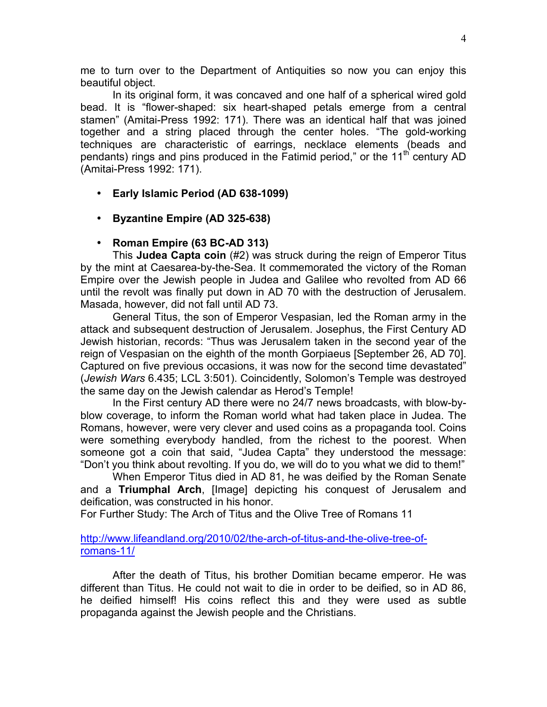me to turn over to the Department of Antiquities so now you can enjoy this beautiful object.

In its original form, it was concaved and one half of a spherical wired gold bead. It is "flower-shaped: six heart-shaped petals emerge from a central stamen" (Amitai-Press 1992: 171). There was an identical half that was joined together and a string placed through the center holes. "The gold-working techniques are characteristic of earrings, necklace elements (beads and pendants) rings and pins produced in the Fatimid period," or the  $11<sup>th</sup>$  century AD (Amitai-Press 1992: 171).

- **Early Islamic Period (AD 638-1099)**
- **Byzantine Empire (AD 325-638)**
- **Roman Empire (63 BC-AD 313)**

This **Judea Capta coin** (#2) was struck during the reign of Emperor Titus by the mint at Caesarea-by-the-Sea. It commemorated the victory of the Roman Empire over the Jewish people in Judea and Galilee who revolted from AD 66 until the revolt was finally put down in AD 70 with the destruction of Jerusalem. Masada, however, did not fall until AD 73.

General Titus, the son of Emperor Vespasian, led the Roman army in the attack and subsequent destruction of Jerusalem. Josephus, the First Century AD Jewish historian, records: "Thus was Jerusalem taken in the second year of the reign of Vespasian on the eighth of the month Gorpiaeus [September 26, AD 70]. Captured on five previous occasions, it was now for the second time devastated" (*Jewish Wars* 6.435; LCL 3:501). Coincidently, Solomon's Temple was destroyed the same day on the Jewish calendar as Herod's Temple!

In the First century AD there were no 24/7 news broadcasts, with blow-byblow coverage, to inform the Roman world what had taken place in Judea. The Romans, however, were very clever and used coins as a propaganda tool. Coins were something everybody handled, from the richest to the poorest. When someone got a coin that said, "Judea Capta" they understood the message: "Don't you think about revolting. If you do, we will do to you what we did to them!"

When Emperor Titus died in AD 81, he was deified by the Roman Senate and a **Triumphal Arch**, [Image] depicting his conquest of Jerusalem and deification, was constructed in his honor.

For Further Study: The Arch of Titus and the Olive Tree of Romans 11

#### http://www.lifeandland.org/2010/02/the-arch-of-titus-and-the-olive-tree-ofromans-11/

After the death of Titus, his brother Domitian became emperor. He was different than Titus. He could not wait to die in order to be deified, so in AD 86, he deified himself! His coins reflect this and they were used as subtle propaganda against the Jewish people and the Christians.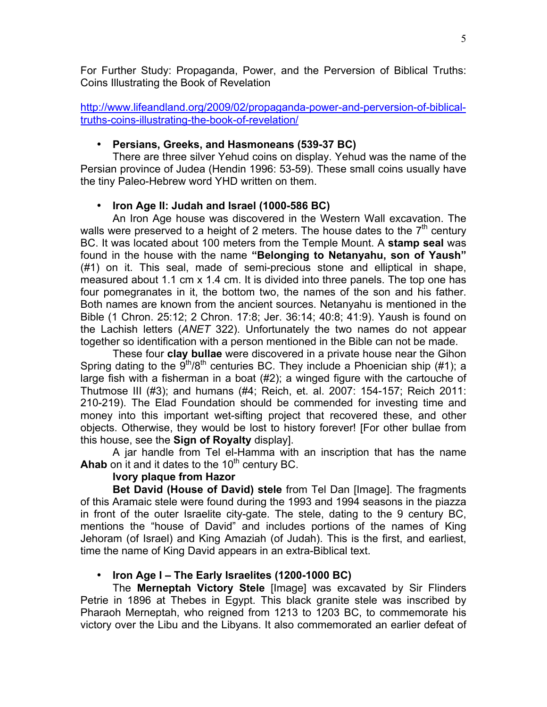For Further Study: Propaganda, Power, and the Perversion of Biblical Truths: Coins Illustrating the Book of Revelation

http://www.lifeandland.org/2009/02/propaganda-power-and-perversion-of-biblicaltruths-coins-illustrating-the-book-of-revelation/

## • **Persians, Greeks, and Hasmoneans (539-37 BC)**

There are three silver Yehud coins on display. Yehud was the name of the Persian province of Judea (Hendin 1996: 53-59). These small coins usually have the tiny Paleo-Hebrew word YHD written on them.

## • **Iron Age II: Judah and Israel (1000-586 BC)**

An Iron Age house was discovered in the Western Wall excavation. The walls were preserved to a height of 2 meters. The house dates to the  $7<sup>th</sup>$  century BC. It was located about 100 meters from the Temple Mount. A **stamp seal** was found in the house with the name **"Belonging to Netanyahu, son of Yaush"** (#1) on it. This seal, made of semi-precious stone and elliptical in shape, measured about 1.1 cm x 1.4 cm. It is divided into three panels. The top one has four pomegranates in it, the bottom two, the names of the son and his father. Both names are known from the ancient sources. Netanyahu is mentioned in the Bible (1 Chron. 25:12; 2 Chron. 17:8; Jer. 36:14; 40:8; 41:9). Yaush is found on the Lachish letters (*ANET* 322). Unfortunately the two names do not appear together so identification with a person mentioned in the Bible can not be made.

These four **clay bullae** were discovered in a private house near the Gihon Spring dating to the  $9<sup>th</sup>/8<sup>th</sup>$  centuries BC. They include a Phoenician ship (#1); a large fish with a fisherman in a boat (#2); a winged figure with the cartouche of Thutmose III (#3); and humans (#4; Reich, et. al. 2007: 154-157; Reich 2011: 210-219). The Elad Foundation should be commended for investing time and money into this important wet-sifting project that recovered these, and other objects. Otherwise, they would be lost to history forever! [For other bullae from this house, see the **Sign of Royalty** display].

A jar handle from Tel el-Hamma with an inscription that has the name Ahab on it and it dates to the 10<sup>th</sup> century BC.

## **Ivory plaque from Hazor**

**Bet David (House of David) stele** from Tel Dan [Image]. The fragments of this Aramaic stele were found during the 1993 and 1994 seasons in the piazza in front of the outer Israelite city-gate. The stele, dating to the 9 century BC, mentions the "house of David" and includes portions of the names of King Jehoram (of Israel) and King Amaziah (of Judah). This is the first, and earliest, time the name of King David appears in an extra-Biblical text.

## • **Iron Age I – The Early Israelites (1200-1000 BC)**

The **Merneptah Victory Stele** [Image] was excavated by Sir Flinders Petrie in 1896 at Thebes in Egypt. This black granite stele was inscribed by Pharaoh Merneptah, who reigned from 1213 to 1203 BC, to commemorate his victory over the Libu and the Libyans. It also commemorated an earlier defeat of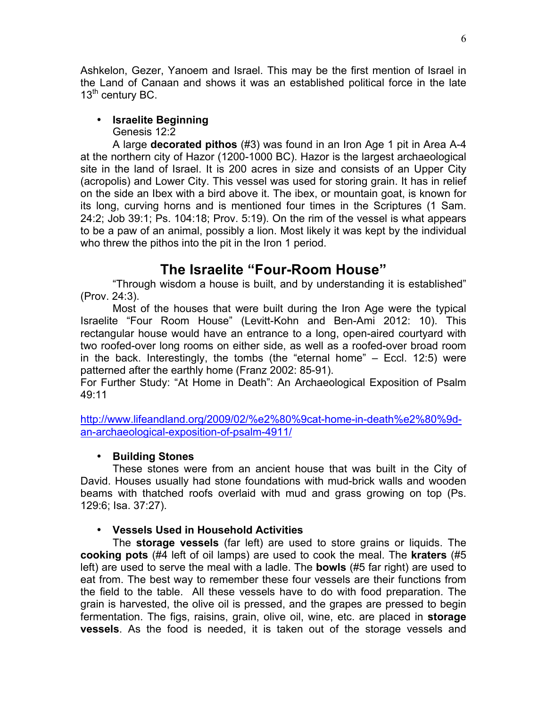Ashkelon, Gezer, Yanoem and Israel. This may be the first mention of Israel in the Land of Canaan and shows it was an established political force in the late 13<sup>th</sup> century BC.

## • **Israelite Beginning**

Genesis 12:2

A large **decorated pithos** (#3) was found in an Iron Age 1 pit in Area A-4 at the northern city of Hazor (1200-1000 BC). Hazor is the largest archaeological site in the land of Israel. It is 200 acres in size and consists of an Upper City (acropolis) and Lower City. This vessel was used for storing grain. It has in relief on the side an Ibex with a bird above it. The ibex, or mountain goat, is known for its long, curving horns and is mentioned four times in the Scriptures (1 Sam. 24:2; Job 39:1; Ps. 104:18; Prov. 5:19). On the rim of the vessel is what appears to be a paw of an animal, possibly a lion. Most likely it was kept by the individual who threw the pithos into the pit in the Iron 1 period.

# **The Israelite "Four-Room House"**

"Through wisdom a house is built, and by understanding it is established" (Prov. 24:3).

Most of the houses that were built during the Iron Age were the typical Israelite "Four Room House" (Levitt-Kohn and Ben-Ami 2012: 10). This rectangular house would have an entrance to a long, open-aired courtyard with two roofed-over long rooms on either side, as well as a roofed-over broad room in the back. Interestingly, the tombs (the "eternal home"  $-$  Eccl. 12:5) were patterned after the earthly home (Franz 2002: 85-91).

For Further Study: "At Home in Death": An Archaeological Exposition of Psalm 49:11

http://www.lifeandland.org/2009/02/%e2%80%9cat-home-in-death%e2%80%9dan-archaeological-exposition-of-psalm-4911/

## • **Building Stones**

These stones were from an ancient house that was built in the City of David. Houses usually had stone foundations with mud-brick walls and wooden beams with thatched roofs overlaid with mud and grass growing on top (Ps. 129:6; Isa. 37:27).

## • **Vessels Used in Household Activities**

The **storage vessels** (far left) are used to store grains or liquids. The **cooking pots** (#4 left of oil lamps) are used to cook the meal. The **kraters** (#5 left) are used to serve the meal with a ladle. The **bowls** (#5 far right) are used to eat from. The best way to remember these four vessels are their functions from the field to the table. All these vessels have to do with food preparation. The grain is harvested, the olive oil is pressed, and the grapes are pressed to begin fermentation. The figs, raisins, grain, olive oil, wine, etc. are placed in **storage vessels**. As the food is needed, it is taken out of the storage vessels and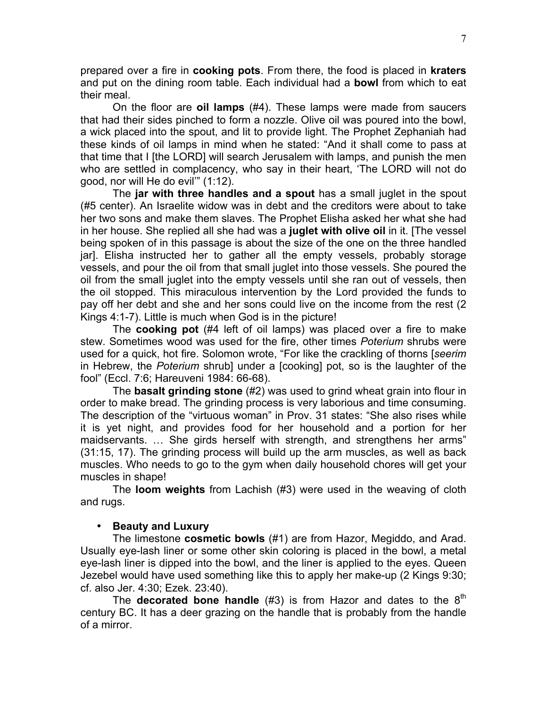prepared over a fire in **cooking pots**. From there, the food is placed in **kraters** and put on the dining room table. Each individual had a **bowl** from which to eat their meal.

On the floor are **oil lamps** (#4). These lamps were made from saucers that had their sides pinched to form a nozzle. Olive oil was poured into the bowl, a wick placed into the spout, and lit to provide light. The Prophet Zephaniah had these kinds of oil lamps in mind when he stated: "And it shall come to pass at that time that I [the LORD] will search Jerusalem with lamps, and punish the men who are settled in complacency, who say in their heart, 'The LORD will not do good, nor will He do evil'" (1:12).

The **jar with three handles and a spout** has a small juglet in the spout (#5 center). An Israelite widow was in debt and the creditors were about to take her two sons and make them slaves. The Prophet Elisha asked her what she had in her house. She replied all she had was a **juglet with olive oil** in it. [The vessel being spoken of in this passage is about the size of the one on the three handled jar]. Elisha instructed her to gather all the empty vessels, probably storage vessels, and pour the oil from that small juglet into those vessels. She poured the oil from the small juglet into the empty vessels until she ran out of vessels, then the oil stopped. This miraculous intervention by the Lord provided the funds to pay off her debt and she and her sons could live on the income from the rest (2 Kings 4:1-7). Little is much when God is in the picture!

The **cooking pot** (#4 left of oil lamps) was placed over a fire to make stew. Sometimes wood was used for the fire, other times *Poterium* shrubs were used for a quick, hot fire. Solomon wrote, "For like the crackling of thorns [*seerim* in Hebrew, the *Poterium* shrub] under a [cooking] pot, so is the laughter of the fool" (Eccl. 7:6; Hareuveni 1984: 66-68).

The **basalt grinding stone** (#2) was used to grind wheat grain into flour in order to make bread. The grinding process is very laborious and time consuming. The description of the "virtuous woman" in Prov. 31 states: "She also rises while it is yet night, and provides food for her household and a portion for her maidservants. … She girds herself with strength, and strengthens her arms" (31:15, 17). The grinding process will build up the arm muscles, as well as back muscles. Who needs to go to the gym when daily household chores will get your muscles in shape!

The **loom weights** from Lachish (#3) were used in the weaving of cloth and rugs.

## • **Beauty and Luxury**

The limestone **cosmetic bowls** (#1) are from Hazor, Megiddo, and Arad. Usually eye-lash liner or some other skin coloring is placed in the bowl, a metal eye-lash liner is dipped into the bowl, and the liner is applied to the eyes. Queen Jezebel would have used something like this to apply her make-up (2 Kings 9:30; cf. also Jer. 4:30; Ezek. 23:40).

The **decorated bone handle**  $(#3)$  is from Hazor and dates to the  $8<sup>th</sup>$ century BC. It has a deer grazing on the handle that is probably from the handle of a mirror.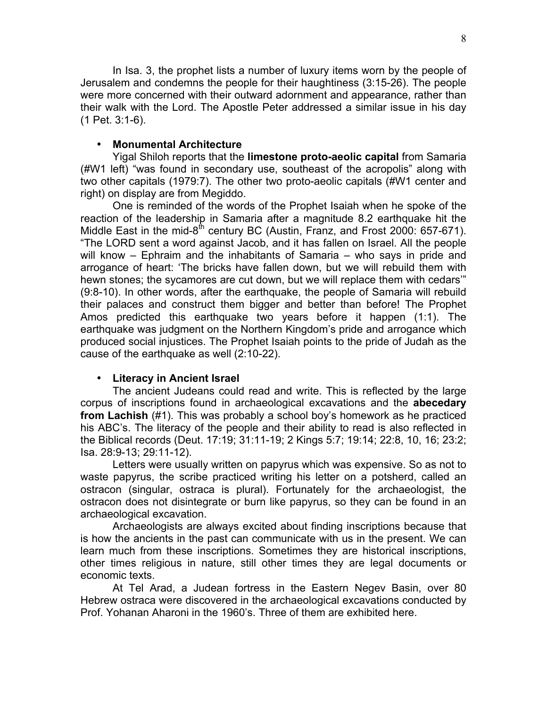In Isa. 3, the prophet lists a number of luxury items worn by the people of Jerusalem and condemns the people for their haughtiness (3:15-26). The people were more concerned with their outward adornment and appearance, rather than their walk with the Lord. The Apostle Peter addressed a similar issue in his day (1 Pet. 3:1-6).

#### • **Monumental Architecture**

Yigal Shiloh reports that the **limestone proto-aeolic capital** from Samaria (#W1 left) "was found in secondary use, southeast of the acropolis" along with two other capitals (1979:7). The other two proto-aeolic capitals (#W1 center and right) on display are from Megiddo.

One is reminded of the words of the Prophet Isaiah when he spoke of the reaction of the leadership in Samaria after a magnitude 8.2 earthquake hit the Middle East in the mid-8<sup>th</sup> century BC (Austin, Franz, and Frost 2000: 657-671). "The LORD sent a word against Jacob, and it has fallen on Israel. All the people will know – Ephraim and the inhabitants of Samaria – who says in pride and arrogance of heart: 'The bricks have fallen down, but we will rebuild them with hewn stones; the sycamores are cut down, but we will replace them with cedars'" (9:8-10). In other words, after the earthquake, the people of Samaria will rebuild their palaces and construct them bigger and better than before! The Prophet Amos predicted this earthquake two years before it happen (1:1). The earthquake was judgment on the Northern Kingdom's pride and arrogance which produced social injustices. The Prophet Isaiah points to the pride of Judah as the cause of the earthquake as well (2:10-22).

## • **Literacy in Ancient Israel**

The ancient Judeans could read and write. This is reflected by the large corpus of inscriptions found in archaeological excavations and the **abecedary from Lachish** (#1). This was probably a school boy's homework as he practiced his ABC's. The literacy of the people and their ability to read is also reflected in the Biblical records (Deut. 17:19; 31:11-19; 2 Kings 5:7; 19:14; 22:8, 10, 16; 23:2; Isa. 28:9-13; 29:11-12).

Letters were usually written on papyrus which was expensive. So as not to waste papyrus, the scribe practiced writing his letter on a potsherd, called an ostracon (singular, ostraca is plural). Fortunately for the archaeologist, the ostracon does not disintegrate or burn like papyrus, so they can be found in an archaeological excavation.

Archaeologists are always excited about finding inscriptions because that is how the ancients in the past can communicate with us in the present. We can learn much from these inscriptions. Sometimes they are historical inscriptions, other times religious in nature, still other times they are legal documents or economic texts.

At Tel Arad, a Judean fortress in the Eastern Negev Basin, over 80 Hebrew ostraca were discovered in the archaeological excavations conducted by Prof. Yohanan Aharoni in the 1960's. Three of them are exhibited here.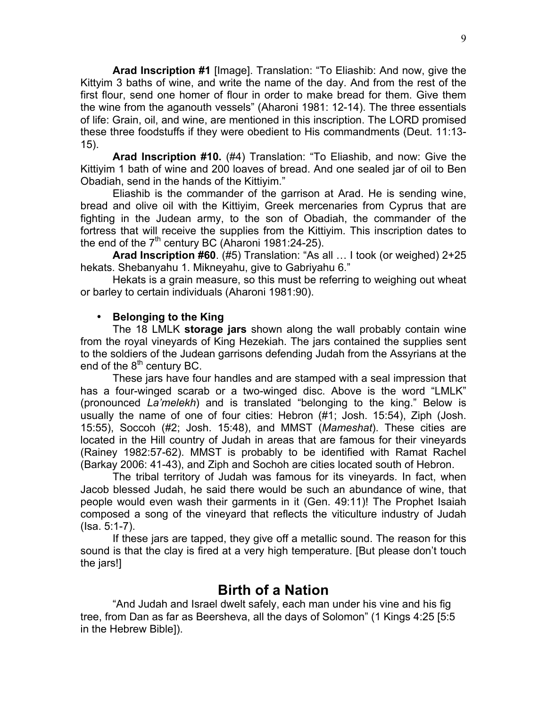**Arad Inscription #1** [Image]. Translation: "To Eliashib: And now, give the Kittyim 3 baths of wine, and write the name of the day. And from the rest of the first flour, send one homer of flour in order to make bread for them. Give them the wine from the aganouth vessels" (Aharoni 1981: 12-14). The three essentials of life: Grain, oil, and wine, are mentioned in this inscription. The LORD promised these three foodstuffs if they were obedient to His commandments (Deut. 11:13- 15).

**Arad Inscription #10.** (#4) Translation: "To Eliashib, and now: Give the Kittiyim 1 bath of wine and 200 loaves of bread. And one sealed jar of oil to Ben Obadiah, send in the hands of the Kittiyim."

Eliashib is the commander of the garrison at Arad. He is sending wine, bread and olive oil with the Kittiyim, Greek mercenaries from Cyprus that are fighting in the Judean army, to the son of Obadiah, the commander of the fortress that will receive the supplies from the Kittiyim. This inscription dates to the end of the  $7<sup>th</sup>$  century BC (Aharoni 1981:24-25).

**Arad Inscription #60**. (#5) Translation: "As all … I took (or weighed) 2+25 hekats. Shebanyahu 1. Mikneyahu, give to Gabriyahu 6."

Hekats is a grain measure, so this must be referring to weighing out wheat or barley to certain individuals (Aharoni 1981:90).

## • **Belonging to the King**

The 18 LMLK **storage jars** shown along the wall probably contain wine from the royal vineyards of King Hezekiah. The jars contained the supplies sent to the soldiers of the Judean garrisons defending Judah from the Assyrians at the end of the  $8<sup>th</sup>$  century BC.

These jars have four handles and are stamped with a seal impression that has a four-winged scarab or a two-winged disc. Above is the word "LMLK" (pronounced *La'melekh*) and is translated "belonging to the king." Below is usually the name of one of four cities: Hebron (#1; Josh. 15:54), Ziph (Josh. 15:55), Soccoh (#2; Josh. 15:48), and MMST (*Mameshat*). These cities are located in the Hill country of Judah in areas that are famous for their vineyards (Rainey 1982:57-62). MMST is probably to be identified with Ramat Rachel (Barkay 2006: 41-43), and Ziph and Sochoh are cities located south of Hebron.

The tribal territory of Judah was famous for its vineyards. In fact, when Jacob blessed Judah, he said there would be such an abundance of wine, that people would even wash their garments in it (Gen. 49:11)! The Prophet Isaiah composed a song of the vineyard that reflects the viticulture industry of Judah (Isa. 5:1-7).

If these jars are tapped, they give off a metallic sound. The reason for this sound is that the clay is fired at a very high temperature. [But please don't touch the jars!]

## **Birth of a Nation**

"And Judah and Israel dwelt safely, each man under his vine and his fig tree, from Dan as far as Beersheva, all the days of Solomon" (1 Kings 4:25 [5:5 in the Hebrew Bible]).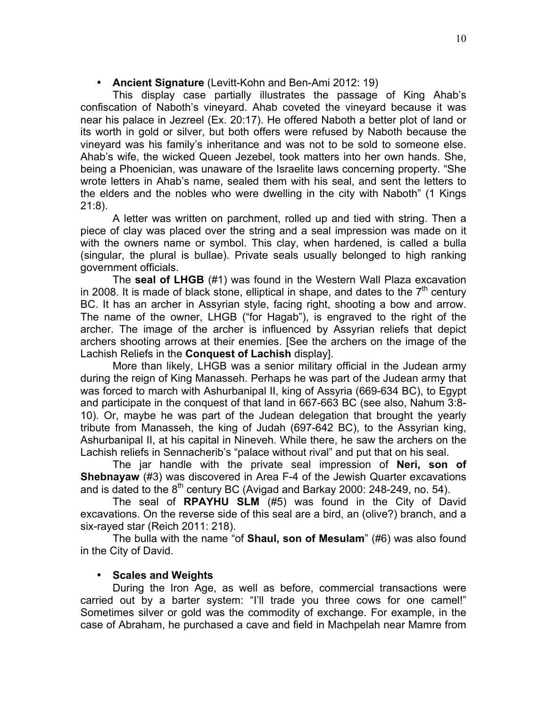### • **Ancient Signature** (Levitt-Kohn and Ben-Ami 2012: 19)

This display case partially illustrates the passage of King Ahab's confiscation of Naboth's vineyard. Ahab coveted the vineyard because it was near his palace in Jezreel (Ex. 20:17). He offered Naboth a better plot of land or its worth in gold or silver, but both offers were refused by Naboth because the vineyard was his family's inheritance and was not to be sold to someone else. Ahab's wife, the wicked Queen Jezebel, took matters into her own hands. She, being a Phoenician, was unaware of the Israelite laws concerning property. "She wrote letters in Ahab's name, sealed them with his seal, and sent the letters to the elders and the nobles who were dwelling in the city with Naboth" (1 Kings 21:8).

A letter was written on parchment, rolled up and tied with string. Then a piece of clay was placed over the string and a seal impression was made on it with the owners name or symbol. This clay, when hardened, is called a bulla (singular, the plural is bullae). Private seals usually belonged to high ranking government officials.

The **seal of LHGB** (#1) was found in the Western Wall Plaza excavation in 2008. It is made of black stone, elliptical in shape, and dates to the  $7<sup>th</sup>$  century BC. It has an archer in Assyrian style, facing right, shooting a bow and arrow. The name of the owner, LHGB ("for Hagab"), is engraved to the right of the archer. The image of the archer is influenced by Assyrian reliefs that depict archers shooting arrows at their enemies. [See the archers on the image of the Lachish Reliefs in the **Conquest of Lachish** display].

More than likely, LHGB was a senior military official in the Judean army during the reign of King Manasseh. Perhaps he was part of the Judean army that was forced to march with Ashurbanipal II, king of Assyria (669-634 BC), to Egypt and participate in the conquest of that land in 667-663 BC (see also, Nahum 3:8- 10). Or, maybe he was part of the Judean delegation that brought the yearly tribute from Manasseh, the king of Judah (697-642 BC), to the Assyrian king, Ashurbanipal II, at his capital in Nineveh. While there, he saw the archers on the Lachish reliefs in Sennacherib's "palace without rival" and put that on his seal.

The jar handle with the private seal impression of **Neri, son of Shebnayaw** (#3) was discovered in Area F-4 of the Jewish Quarter excavations and is dated to the  $8<sup>th</sup>$  century BC (Avigad and Barkay 2000: 248-249, no. 54).

The seal of **RPAYHU SLM** (#5) was found in the City of David excavations. On the reverse side of this seal are a bird, an (olive?) branch, and a six-rayed star (Reich 2011: 218).

The bulla with the name "of **Shaul, son of Mesulam**" (#6) was also found in the City of David.

## • **Scales and Weights**

During the Iron Age, as well as before, commercial transactions were carried out by a barter system: "I'll trade you three cows for one camel!" Sometimes silver or gold was the commodity of exchange. For example, in the case of Abraham, he purchased a cave and field in Machpelah near Mamre from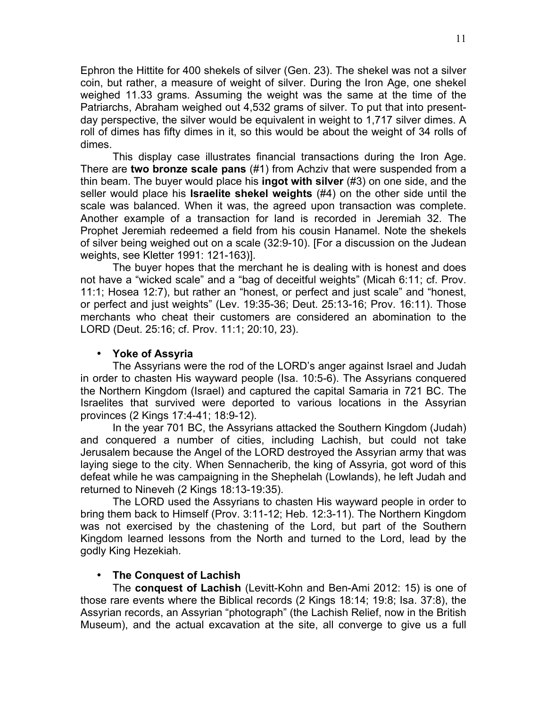Ephron the Hittite for 400 shekels of silver (Gen. 23). The shekel was not a silver coin, but rather, a measure of weight of silver. During the Iron Age, one shekel weighed 11.33 grams. Assuming the weight was the same at the time of the Patriarchs, Abraham weighed out 4,532 grams of silver. To put that into presentday perspective, the silver would be equivalent in weight to 1,717 silver dimes. A roll of dimes has fifty dimes in it, so this would be about the weight of 34 rolls of dimes.

This display case illustrates financial transactions during the Iron Age. There are **two bronze scale pans** (#1) from Achziv that were suspended from a thin beam. The buyer would place his **ingot with silver** (#3) on one side, and the seller would place his **Israelite shekel weights** (#4) on the other side until the scale was balanced. When it was, the agreed upon transaction was complete. Another example of a transaction for land is recorded in Jeremiah 32. The Prophet Jeremiah redeemed a field from his cousin Hanamel. Note the shekels of silver being weighed out on a scale (32:9-10). [For a discussion on the Judean weights, see Kletter 1991: 121-163)].

The buyer hopes that the merchant he is dealing with is honest and does not have a "wicked scale" and a "bag of deceitful weights" (Micah 6:11; cf. Prov. 11:1; Hosea 12:7), but rather an "honest, or perfect and just scale" and "honest, or perfect and just weights" (Lev. 19:35-36; Deut. 25:13-16; Prov. 16:11). Those merchants who cheat their customers are considered an abomination to the LORD (Deut. 25:16; cf. Prov. 11:1; 20:10, 23).

#### • **Yoke of Assyria**

The Assyrians were the rod of the LORD's anger against Israel and Judah in order to chasten His wayward people (Isa. 10:5-6). The Assyrians conquered the Northern Kingdom (Israel) and captured the capital Samaria in 721 BC. The Israelites that survived were deported to various locations in the Assyrian provinces (2 Kings 17:4-41; 18:9-12).

In the year 701 BC, the Assyrians attacked the Southern Kingdom (Judah) and conquered a number of cities, including Lachish, but could not take Jerusalem because the Angel of the LORD destroyed the Assyrian army that was laying siege to the city. When Sennacherib, the king of Assyria, got word of this defeat while he was campaigning in the Shephelah (Lowlands), he left Judah and returned to Nineveh (2 Kings 18:13-19:35).

The LORD used the Assyrians to chasten His wayward people in order to bring them back to Himself (Prov. 3:11-12; Heb. 12:3-11). The Northern Kingdom was not exercised by the chastening of the Lord, but part of the Southern Kingdom learned lessons from the North and turned to the Lord, lead by the godly King Hezekiah.

## • **The Conquest of Lachish**

The **conquest of Lachish** (Levitt-Kohn and Ben-Ami 2012: 15) is one of those rare events where the Biblical records (2 Kings 18:14; 19:8; Isa. 37:8), the Assyrian records, an Assyrian "photograph" (the Lachish Relief, now in the British Museum), and the actual excavation at the site, all converge to give us a full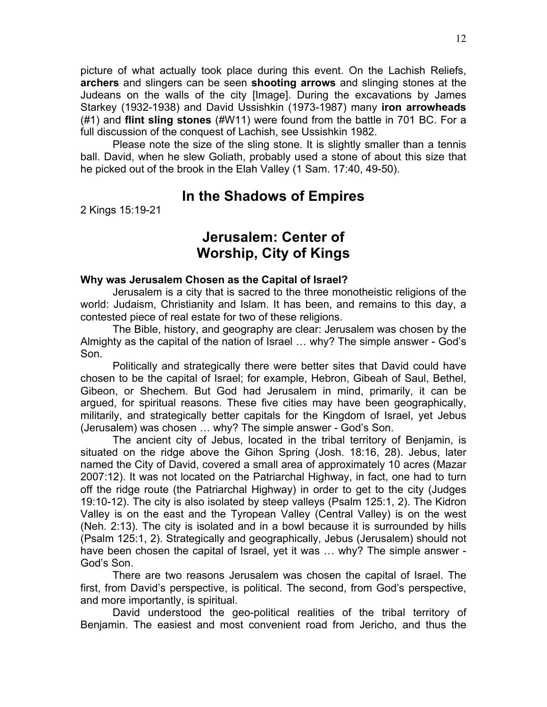picture of what actually took place during this event. On the Lachish Reliefs, **archers** and slingers can be seen **shooting arrows** and slinging stones at the Judeans on the walls of the city [Image]. During the excavations by James Starkey (1932-1938) and David Ussishkin (1973-1987) many **iron arrowheads** (#1) and **flint sling stones** (#W11) were found from the battle in 701 BC. For a full discussion of the conquest of Lachish, see Ussishkin 1982.

Please note the size of the sling stone. It is slightly smaller than a tennis ball. David, when he slew Goliath, probably used a stone of about this size that he picked out of the brook in the Elah Valley (1 Sam. 17:40, 49-50).

## **In the Shadows of Empires**

2 Kings 15:19-21

# **Jerusalem: Center of Worship, City of Kings**

#### **Why was Jerusalem Chosen as the Capital of Israel?**

Jerusalem is a city that is sacred to the three monotheistic religions of the world: Judaism, Christianity and Islam. It has been, and remains to this day, a contested piece of real estate for two of these religions.

The Bible, history, and geography are clear: Jerusalem was chosen by the Almighty as the capital of the nation of Israel … why? The simple answer - God's Son.

Politically and strategically there were better sites that David could have chosen to be the capital of Israel; for example, Hebron, Gibeah of Saul, Bethel, Gibeon, or Shechem. But God had Jerusalem in mind, primarily, it can be argued, for spiritual reasons. These five cities may have been geographically, militarily, and strategically better capitals for the Kingdom of Israel, yet Jebus (Jerusalem) was chosen … why? The simple answer - God's Son.

The ancient city of Jebus, located in the tribal territory of Benjamin, is situated on the ridge above the Gihon Spring (Josh. 18:16, 28). Jebus, later named the City of David, covered a small area of approximately 10 acres (Mazar 2007:12). It was not located on the Patriarchal Highway, in fact, one had to turn off the ridge route (the Patriarchal Highway) in order to get to the city (Judges 19:10-12). The city is also isolated by steep valleys (Psalm 125:1, 2). The Kidron Valley is on the east and the Tyropean Valley (Central Valley) is on the west (Neh. 2:13). The city is isolated and in a bowl because it is surrounded by hills (Psalm 125:1, 2). Strategically and geographically, Jebus (Jerusalem) should not have been chosen the capital of Israel, yet it was ... why? The simple answer -God's Son.

There are two reasons Jerusalem was chosen the capital of Israel. The first, from David's perspective, is political. The second, from God's perspective, and more importantly, is spiritual.

David understood the geo-political realities of the tribal territory of Benjamin. The easiest and most convenient road from Jericho, and thus the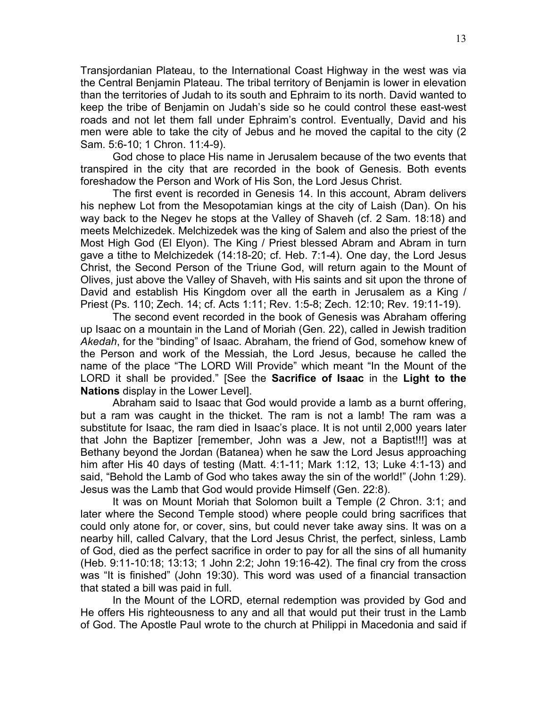Transjordanian Plateau, to the International Coast Highway in the west was via the Central Benjamin Plateau. The tribal territory of Benjamin is lower in elevation than the territories of Judah to its south and Ephraim to its north. David wanted to keep the tribe of Benjamin on Judah's side so he could control these east-west roads and not let them fall under Ephraim's control. Eventually, David and his men were able to take the city of Jebus and he moved the capital to the city (2 Sam. 5:6-10; 1 Chron. 11:4-9).

God chose to place His name in Jerusalem because of the two events that transpired in the city that are recorded in the book of Genesis. Both events foreshadow the Person and Work of His Son, the Lord Jesus Christ.

The first event is recorded in Genesis 14. In this account, Abram delivers his nephew Lot from the Mesopotamian kings at the city of Laish (Dan). On his way back to the Negev he stops at the Valley of Shaveh (cf. 2 Sam. 18:18) and meets Melchizedek. Melchizedek was the king of Salem and also the priest of the Most High God (El Elyon). The King / Priest blessed Abram and Abram in turn gave a tithe to Melchizedek (14:18-20; cf. Heb. 7:1-4). One day, the Lord Jesus Christ, the Second Person of the Triune God, will return again to the Mount of Olives, just above the Valley of Shaveh, with His saints and sit upon the throne of David and establish His Kingdom over all the earth in Jerusalem as a King / Priest (Ps. 110; Zech. 14; cf. Acts 1:11; Rev. 1:5-8; Zech. 12:10; Rev. 19:11-19).

The second event recorded in the book of Genesis was Abraham offering up Isaac on a mountain in the Land of Moriah (Gen. 22), called in Jewish tradition *Akedah*, for the "binding" of Isaac. Abraham, the friend of God, somehow knew of the Person and work of the Messiah, the Lord Jesus, because he called the name of the place "The LORD Will Provide" which meant "In the Mount of the LORD it shall be provided." [See the **Sacrifice of Isaac** in the **Light to the Nations** display in the Lower Level].

Abraham said to Isaac that God would provide a lamb as a burnt offering, but a ram was caught in the thicket. The ram is not a lamb! The ram was a substitute for Isaac, the ram died in Isaac's place. It is not until 2,000 years later that John the Baptizer [remember, John was a Jew, not a Baptist!!!] was at Bethany beyond the Jordan (Batanea) when he saw the Lord Jesus approaching him after His 40 days of testing (Matt. 4:1-11; Mark 1:12, 13; Luke 4:1-13) and said, "Behold the Lamb of God who takes away the sin of the world!" (John 1:29). Jesus was the Lamb that God would provide Himself (Gen. 22:8).

It was on Mount Moriah that Solomon built a Temple (2 Chron. 3:1; and later where the Second Temple stood) where people could bring sacrifices that could only atone for, or cover, sins, but could never take away sins. It was on a nearby hill, called Calvary, that the Lord Jesus Christ, the perfect, sinless, Lamb of God, died as the perfect sacrifice in order to pay for all the sins of all humanity (Heb. 9:11-10:18; 13:13; 1 John 2:2; John 19:16-42). The final cry from the cross was "It is finished" (John 19:30). This word was used of a financial transaction that stated a bill was paid in full.

In the Mount of the LORD, eternal redemption was provided by God and He offers His righteousness to any and all that would put their trust in the Lamb of God. The Apostle Paul wrote to the church at Philippi in Macedonia and said if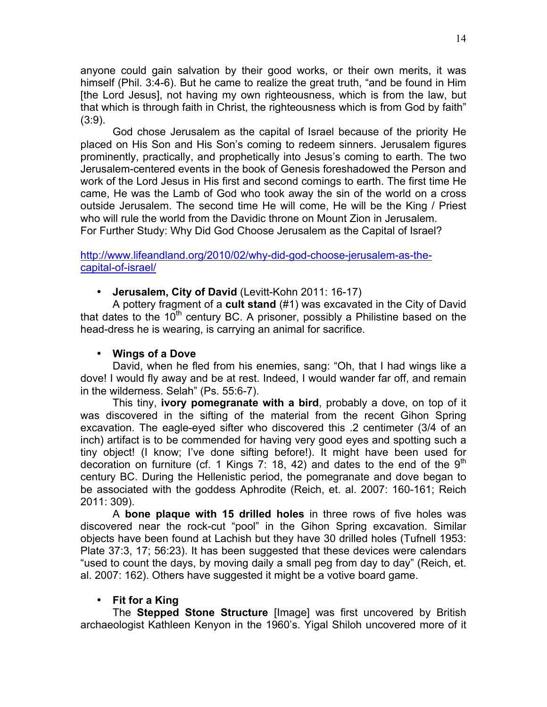anyone could gain salvation by their good works, or their own merits, it was himself (Phil. 3:4-6). But he came to realize the great truth, "and be found in Him [the Lord Jesus], not having my own righteousness, which is from the law, but that which is through faith in Christ, the righteousness which is from God by faith" (3:9).

God chose Jerusalem as the capital of Israel because of the priority He placed on His Son and His Son's coming to redeem sinners. Jerusalem figures prominently, practically, and prophetically into Jesus's coming to earth. The two Jerusalem-centered events in the book of Genesis foreshadowed the Person and work of the Lord Jesus in His first and second comings to earth. The first time He came, He was the Lamb of God who took away the sin of the world on a cross outside Jerusalem. The second time He will come, He will be the King / Priest who will rule the world from the Davidic throne on Mount Zion in Jerusalem. For Further Study: Why Did God Choose Jerusalem as the Capital of Israel?

http://www.lifeandland.org/2010/02/why-did-god-choose-jerusalem-as-thecapital-of-israel/

• **Jerusalem, City of David** (Levitt-Kohn 2011: 16-17)

A pottery fragment of a **cult stand** (#1) was excavated in the City of David that dates to the 10<sup>th</sup> century BC. A prisoner, possibly a Philistine based on the head-dress he is wearing, is carrying an animal for sacrifice.

#### • **Wings of a Dove**

David, when he fled from his enemies, sang: "Oh, that I had wings like a dove! I would fly away and be at rest. Indeed, I would wander far off, and remain in the wilderness. Selah" (Ps. 55:6-7).

This tiny, **ivory pomegranate with a bird**, probably a dove, on top of it was discovered in the sifting of the material from the recent Gihon Spring excavation. The eagle-eyed sifter who discovered this .2 centimeter (3/4 of an inch) artifact is to be commended for having very good eyes and spotting such a tiny object! (I know; I've done sifting before!). It might have been used for decoration on furniture (cf. 1 Kings 7: 18, 42) and dates to the end of the  $9<sup>th</sup>$ century BC. During the Hellenistic period, the pomegranate and dove began to be associated with the goddess Aphrodite (Reich, et. al. 2007: 160-161; Reich 2011: 309).

A **bone plaque with 15 drilled holes** in three rows of five holes was discovered near the rock-cut "pool" in the Gihon Spring excavation. Similar objects have been found at Lachish but they have 30 drilled holes (Tufnell 1953: Plate 37:3, 17; 56:23). It has been suggested that these devices were calendars "used to count the days, by moving daily a small peg from day to day" (Reich, et. al. 2007: 162). Others have suggested it might be a votive board game.

## • **Fit for a King**

The **Stepped Stone Structure** [Image] was first uncovered by British archaeologist Kathleen Kenyon in the 1960's. Yigal Shiloh uncovered more of it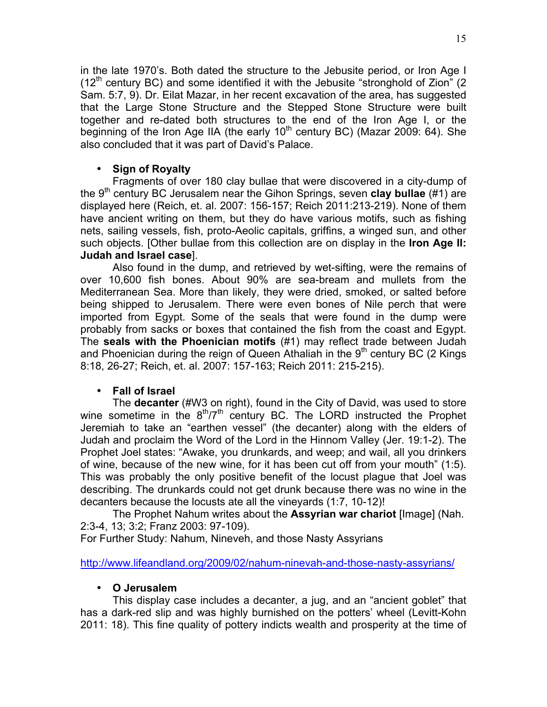in the late 1970's. Both dated the structure to the Jebusite period, or Iron Age I  $(12<sup>th</sup>$  century BC) and some identified it with the Jebusite "stronghold of Zion" (2) Sam. 5:7, 9). Dr. Eilat Mazar, in her recent excavation of the area, has suggested that the Large Stone Structure and the Stepped Stone Structure were built together and re-dated both structures to the end of the Iron Age I, or the beginning of the Iron Age IIA (the early  $10<sup>th</sup>$  century BC) (Mazar 2009: 64). She also concluded that it was part of David's Palace.

### • **Sign of Royalty**

Fragments of over 180 clay bullae that were discovered in a city-dump of the 9<sup>th</sup> century BC Jerusalem near the Gihon Springs, seven **clay bullae** (#1) are displayed here (Reich, et. al. 2007: 156-157; Reich 2011:213-219). None of them have ancient writing on them, but they do have various motifs, such as fishing nets, sailing vessels, fish, proto-Aeolic capitals, griffins, a winged sun, and other such objects. [Other bullae from this collection are on display in the **Iron Age II: Judah and Israel case**].

Also found in the dump, and retrieved by wet-sifting, were the remains of over 10,600 fish bones. About 90% are sea-bream and mullets from the Mediterranean Sea. More than likely, they were dried, smoked, or salted before being shipped to Jerusalem. There were even bones of Nile perch that were imported from Egypt. Some of the seals that were found in the dump were probably from sacks or boxes that contained the fish from the coast and Egypt. The **seals with the Phoenician motifs** (#1) may reflect trade between Judah and Phoenician during the reign of Queen Athaliah in the  $9<sup>th</sup>$  century BC (2 Kings 8:18, 26-27; Reich, et. al. 2007: 157-163; Reich 2011: 215-215).

## • **Fall of Israel**

The **decanter** (#W3 on right), found in the City of David, was used to store wine sometime in the  $8<sup>th</sup>/7<sup>th</sup>$  century BC. The LORD instructed the Prophet Jeremiah to take an "earthen vessel" (the decanter) along with the elders of Judah and proclaim the Word of the Lord in the Hinnom Valley (Jer. 19:1-2). The Prophet Joel states: "Awake, you drunkards, and weep; and wail, all you drinkers of wine, because of the new wine, for it has been cut off from your mouth" (1:5). This was probably the only positive benefit of the locust plague that Joel was describing. The drunkards could not get drunk because there was no wine in the decanters because the locusts ate all the vineyards (1:7, 10-12)!

The Prophet Nahum writes about the **Assyrian war chariot** [Image] (Nah. 2:3-4, 13; 3:2; Franz 2003: 97-109).

For Further Study: Nahum, Nineveh, and those Nasty Assyrians

http://www.lifeandland.org/2009/02/nahum-ninevah-and-those-nasty-assyrians/

## • **O Jerusalem**

This display case includes a decanter, a jug, and an "ancient goblet" that has a dark-red slip and was highly burnished on the potters' wheel (Levitt-Kohn 2011: 18). This fine quality of pottery indicts wealth and prosperity at the time of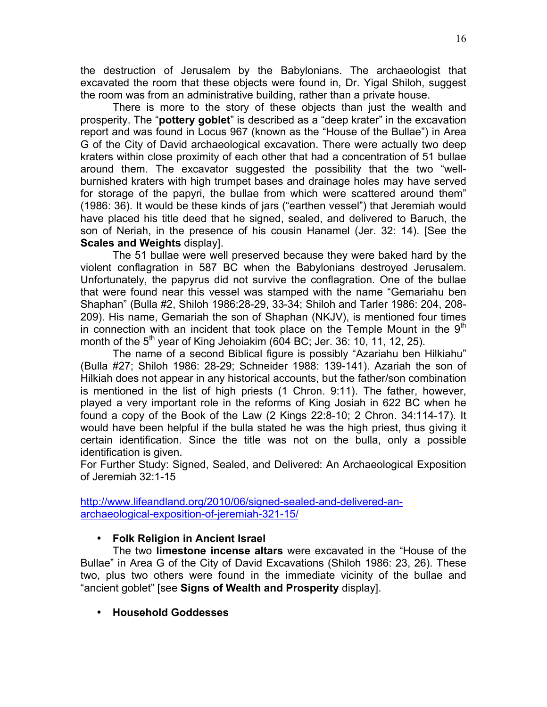the destruction of Jerusalem by the Babylonians. The archaeologist that excavated the room that these objects were found in, Dr. Yigal Shiloh, suggest the room was from an administrative building, rather than a private house.

There is more to the story of these objects than just the wealth and prosperity. The "**pottery goblet**" is described as a "deep krater" in the excavation report and was found in Locus 967 (known as the "House of the Bullae") in Area G of the City of David archaeological excavation. There were actually two deep kraters within close proximity of each other that had a concentration of 51 bullae around them. The excavator suggested the possibility that the two "wellburnished kraters with high trumpet bases and drainage holes may have served for storage of the papyri, the bullae from which were scattered around them" (1986: 36). It would be these kinds of jars ("earthen vessel") that Jeremiah would have placed his title deed that he signed, sealed, and delivered to Baruch, the son of Neriah, in the presence of his cousin Hanamel (Jer. 32: 14). [See the **Scales and Weights** display].

The 51 bullae were well preserved because they were baked hard by the violent conflagration in 587 BC when the Babylonians destroyed Jerusalem. Unfortunately, the papyrus did not survive the conflagration. One of the bullae that were found near this vessel was stamped with the name "Gemariahu ben Shaphan" (Bulla #2, Shiloh 1986:28-29, 33-34; Shiloh and Tarler 1986: 204, 208- 209). His name, Gemariah the son of Shaphan (NKJV), is mentioned four times in connection with an incident that took place on the Temple Mount in the  $9<sup>th</sup>$ month of the  $5<sup>th</sup>$  year of King Jehoiakim (604 BC; Jer. 36: 10, 11, 12, 25).

The name of a second Biblical figure is possibly "Azariahu ben Hilkiahu" (Bulla #27; Shiloh 1986: 28-29; Schneider 1988: 139-141). Azariah the son of Hilkiah does not appear in any historical accounts, but the father/son combination is mentioned in the list of high priests (1 Chron. 9:11). The father, however, played a very important role in the reforms of King Josiah in 622 BC when he found a copy of the Book of the Law (2 Kings 22:8-10; 2 Chron. 34:114-17). It would have been helpful if the bulla stated he was the high priest, thus giving it certain identification. Since the title was not on the bulla, only a possible identification is given.

For Further Study: Signed, Sealed, and Delivered: An Archaeological Exposition of Jeremiah 32:1-15

http://www.lifeandland.org/2010/06/signed-sealed-and-delivered-anarchaeological-exposition-of-jeremiah-321-15/

## • **Folk Religion in Ancient Israel**

The two **limestone incense altars** were excavated in the "House of the Bullae" in Area G of the City of David Excavations (Shiloh 1986: 23, 26). These two, plus two others were found in the immediate vicinity of the bullae and "ancient goblet" [see **Signs of Wealth and Prosperity** display].

• **Household Goddesses**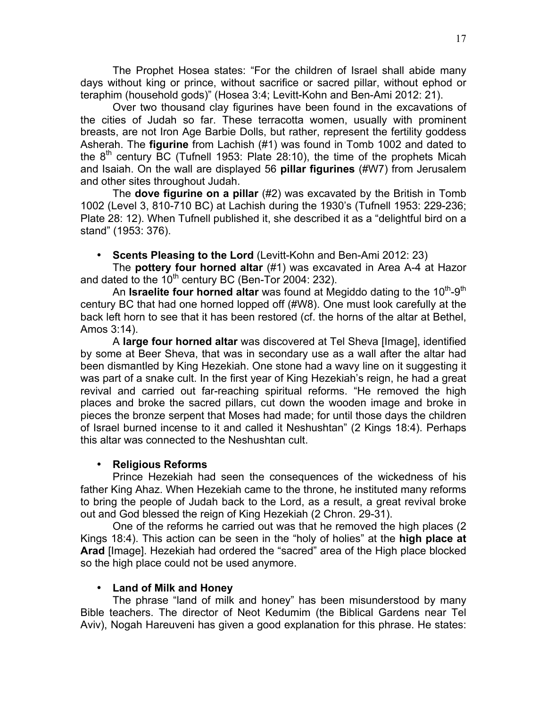The Prophet Hosea states: "For the children of Israel shall abide many days without king or prince, without sacrifice or sacred pillar, without ephod or teraphim (household gods)" (Hosea 3:4; Levitt-Kohn and Ben-Ami 2012: 21).

Over two thousand clay figurines have been found in the excavations of the cities of Judah so far. These terracotta women, usually with prominent breasts, are not Iron Age Barbie Dolls, but rather, represent the fertility goddess Asherah. The **figurine** from Lachish (#1) was found in Tomb 1002 and dated to the  $8<sup>th</sup>$  century BC (Tufnell 1953: Plate 28:10), the time of the prophets Micah and Isaiah. On the wall are displayed 56 **pillar figurines** (#W7) from Jerusalem and other sites throughout Judah.

The **dove figurine on a pillar** (#2) was excavated by the British in Tomb 1002 (Level 3, 810-710 BC) at Lachish during the 1930's (Tufnell 1953: 229-236; Plate 28: 12). When Tufnell published it, she described it as a "delightful bird on a stand" (1953: 376).

• **Scents Pleasing to the Lord** (Levitt-Kohn and Ben-Ami 2012: 23)

The **pottery four horned altar** (#1) was excavated in Area A-4 at Hazor and dated to the  $10^{th}$  century BC (Ben-Tor 2004: 232).

An **Israelite four horned altar** was found at Megiddo dating to the 10<sup>th</sup>-9<sup>th</sup> century BC that had one horned lopped off (#W8). One must look carefully at the back left horn to see that it has been restored (cf. the horns of the altar at Bethel, Amos 3:14).

A **large four horned altar** was discovered at Tel Sheva [Image], identified by some at Beer Sheva, that was in secondary use as a wall after the altar had been dismantled by King Hezekiah. One stone had a wavy line on it suggesting it was part of a snake cult. In the first year of King Hezekiah's reign, he had a great revival and carried out far-reaching spiritual reforms. "He removed the high places and broke the sacred pillars, cut down the wooden image and broke in pieces the bronze serpent that Moses had made; for until those days the children of Israel burned incense to it and called it Neshushtan" (2 Kings 18:4). Perhaps this altar was connected to the Neshushtan cult.

## • **Religious Reforms**

Prince Hezekiah had seen the consequences of the wickedness of his father King Ahaz. When Hezekiah came to the throne, he instituted many reforms to bring the people of Judah back to the Lord, as a result, a great revival broke out and God blessed the reign of King Hezekiah (2 Chron. 29-31).

One of the reforms he carried out was that he removed the high places (2 Kings 18:4). This action can be seen in the "holy of holies" at the **high place at Arad** [Image]. Hezekiah had ordered the "sacred" area of the High place blocked so the high place could not be used anymore.

## • **Land of Milk and Honey**

The phrase "land of milk and honey" has been misunderstood by many Bible teachers. The director of Neot Kedumim (the Biblical Gardens near Tel Aviv), Nogah Hareuveni has given a good explanation for this phrase. He states: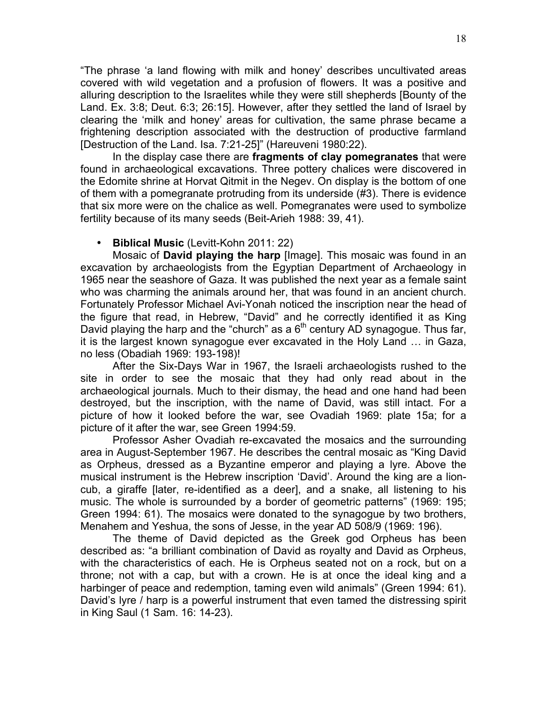"The phrase 'a land flowing with milk and honey' describes uncultivated areas covered with wild vegetation and a profusion of flowers. It was a positive and alluring description to the Israelites while they were still shepherds [Bounty of the Land. Ex. 3:8; Deut. 6:3; 26:15]. However, after they settled the land of Israel by clearing the 'milk and honey' areas for cultivation, the same phrase became a frightening description associated with the destruction of productive farmland [Destruction of the Land. Isa. 7:21-25]" (Hareuveni 1980:22).

In the display case there are **fragments of clay pomegranates** that were found in archaeological excavations. Three pottery chalices were discovered in the Edomite shrine at Horvat Qitmit in the Negev. On display is the bottom of one of them with a pomegranate protruding from its underside (#3). There is evidence that six more were on the chalice as well. Pomegranates were used to symbolize fertility because of its many seeds (Beit-Arieh 1988: 39, 41).

#### • **Biblical Music** (Levitt-Kohn 2011: 22)

Mosaic of **David playing the harp** [Image]. This mosaic was found in an excavation by archaeologists from the Egyptian Department of Archaeology in 1965 near the seashore of Gaza. It was published the next year as a female saint who was charming the animals around her, that was found in an ancient church. Fortunately Professor Michael Avi-Yonah noticed the inscription near the head of the figure that read, in Hebrew, "David" and he correctly identified it as King David playing the harp and the "church" as a  $6<sup>th</sup>$  century AD synagogue. Thus far, it is the largest known synagogue ever excavated in the Holy Land … in Gaza, no less (Obadiah 1969: 193-198)!

After the Six-Days War in 1967, the Israeli archaeologists rushed to the site in order to see the mosaic that they had only read about in the archaeological journals. Much to their dismay, the head and one hand had been destroyed, but the inscription, with the name of David, was still intact. For a picture of how it looked before the war, see Ovadiah 1969: plate 15a; for a picture of it after the war, see Green 1994:59.

Professor Asher Ovadiah re-excavated the mosaics and the surrounding area in August-September 1967. He describes the central mosaic as "King David as Orpheus, dressed as a Byzantine emperor and playing a lyre. Above the musical instrument is the Hebrew inscription 'David'. Around the king are a lioncub, a giraffe [later, re-identified as a deer], and a snake, all listening to his music. The whole is surrounded by a border of geometric patterns" (1969: 195; Green 1994: 61). The mosaics were donated to the synagogue by two brothers, Menahem and Yeshua, the sons of Jesse, in the year AD 508/9 (1969: 196).

The theme of David depicted as the Greek god Orpheus has been described as: "a brilliant combination of David as royalty and David as Orpheus, with the characteristics of each. He is Orpheus seated not on a rock, but on a throne; not with a cap, but with a crown. He is at once the ideal king and a harbinger of peace and redemption, taming even wild animals" (Green 1994: 61). David's lyre / harp is a powerful instrument that even tamed the distressing spirit in King Saul (1 Sam. 16: 14-23).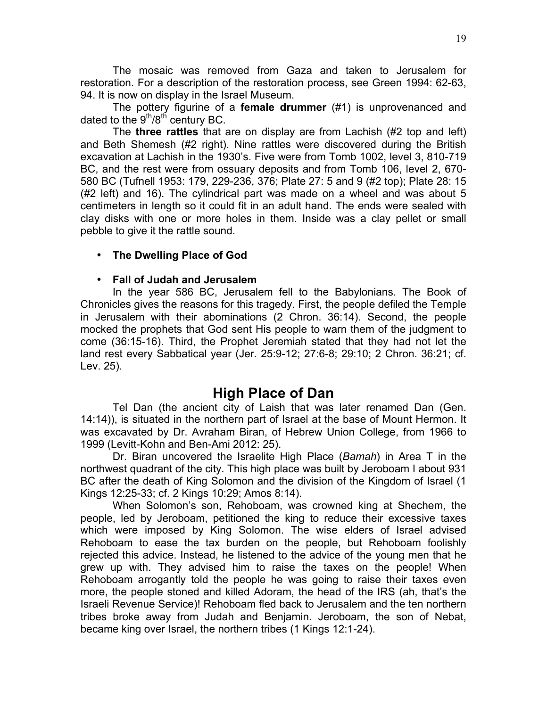The mosaic was removed from Gaza and taken to Jerusalem for restoration. For a description of the restoration process, see Green 1994: 62-63, 94. It is now on display in the Israel Museum.

The pottery figurine of a **female drummer** (#1) is unprovenanced and dated to the  $9<sup>th</sup>/8<sup>th</sup>$  century BC.

The **three rattles** that are on display are from Lachish (#2 top and left) and Beth Shemesh (#2 right). Nine rattles were discovered during the British excavation at Lachish in the 1930's. Five were from Tomb 1002, level 3, 810-719 BC, and the rest were from ossuary deposits and from Tomb 106, level 2, 670- 580 BC (Tufnell 1953: 179, 229-236, 376; Plate 27: 5 and 9 (#2 top); Plate 28: 15 (#2 left) and 16). The cylindrical part was made on a wheel and was about 5 centimeters in length so it could fit in an adult hand. The ends were sealed with clay disks with one or more holes in them. Inside was a clay pellet or small pebble to give it the rattle sound.

## • **The Dwelling Place of God**

#### • **Fall of Judah and Jerusalem**

In the year 586 BC, Jerusalem fell to the Babylonians. The Book of Chronicles gives the reasons for this tragedy. First, the people defiled the Temple in Jerusalem with their abominations (2 Chron. 36:14). Second, the people mocked the prophets that God sent His people to warn them of the judgment to come (36:15-16). Third, the Prophet Jeremiah stated that they had not let the land rest every Sabbatical year (Jer. 25:9-12; 27:6-8; 29:10; 2 Chron. 36:21; cf. Lev. 25).

## **High Place of Dan**

Tel Dan (the ancient city of Laish that was later renamed Dan (Gen. 14:14)), is situated in the northern part of Israel at the base of Mount Hermon. It was excavated by Dr. Avraham Biran, of Hebrew Union College, from 1966 to 1999 (Levitt-Kohn and Ben-Ami 2012: 25).

Dr. Biran uncovered the Israelite High Place (*Bamah*) in Area T in the northwest quadrant of the city. This high place was built by Jeroboam I about 931 BC after the death of King Solomon and the division of the Kingdom of Israel (1 Kings 12:25-33; cf. 2 Kings 10:29; Amos 8:14).

When Solomon's son, Rehoboam, was crowned king at Shechem, the people, led by Jeroboam, petitioned the king to reduce their excessive taxes which were imposed by King Solomon. The wise elders of Israel advised Rehoboam to ease the tax burden on the people, but Rehoboam foolishly rejected this advice. Instead, he listened to the advice of the young men that he grew up with. They advised him to raise the taxes on the people! When Rehoboam arrogantly told the people he was going to raise their taxes even more, the people stoned and killed Adoram, the head of the IRS (ah, that's the Israeli Revenue Service)! Rehoboam fled back to Jerusalem and the ten northern tribes broke away from Judah and Benjamin. Jeroboam, the son of Nebat, became king over Israel, the northern tribes (1 Kings 12:1-24).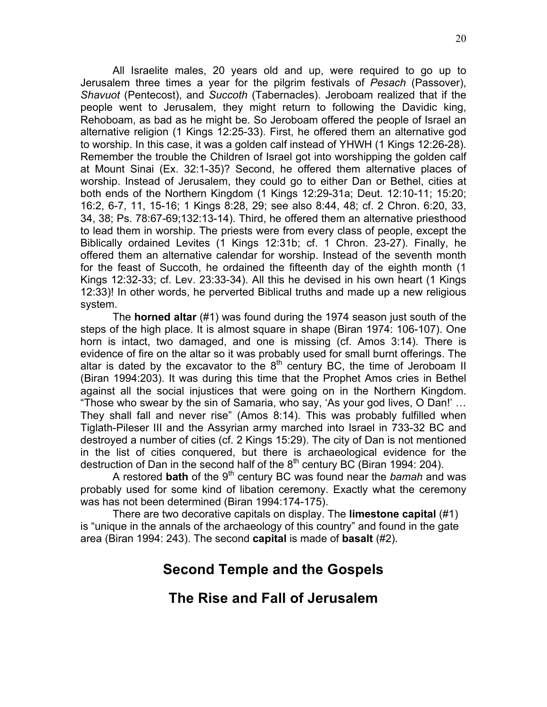All Israelite males, 20 years old and up, were required to go up to Jerusalem three times a year for the pilgrim festivals of *Pesach* (Passover), *Shavuot* (Pentecost), and *Succoth* (Tabernacles). Jeroboam realized that if the people went to Jerusalem, they might return to following the Davidic king, Rehoboam, as bad as he might be. So Jeroboam offered the people of Israel an alternative religion (1 Kings 12:25-33). First, he offered them an alternative god to worship. In this case, it was a golden calf instead of YHWH (1 Kings 12:26-28). Remember the trouble the Children of Israel got into worshipping the golden calf at Mount Sinai (Ex. 32:1-35)? Second, he offered them alternative places of worship. Instead of Jerusalem, they could go to either Dan or Bethel, cities at both ends of the Northern Kingdom (1 Kings 12:29-31a; Deut. 12:10-11; 15:20; 16:2, 6-7, 11, 15-16; 1 Kings 8:28, 29; see also 8:44, 48; cf. 2 Chron. 6:20, 33, 34, 38; Ps. 78:67-69;132:13-14). Third, he offered them an alternative priesthood to lead them in worship. The priests were from every class of people, except the Biblically ordained Levites (1 Kings 12:31b; cf. 1 Chron. 23-27). Finally, he offered them an alternative calendar for worship. Instead of the seventh month for the feast of Succoth, he ordained the fifteenth day of the eighth month (1 Kings 12:32-33; cf. Lev. 23:33-34). All this he devised in his own heart (1 Kings 12:33)! In other words, he perverted Biblical truths and made up a new religious system.

The **horned altar** (#1) was found during the 1974 season just south of the steps of the high place. It is almost square in shape (Biran 1974: 106-107). One horn is intact, two damaged, and one is missing (cf. Amos 3:14). There is evidence of fire on the altar so it was probably used for small burnt offerings. The altar is dated by the excavator to the  $8<sup>th</sup>$  century BC, the time of Jeroboam II (Biran 1994:203). It was during this time that the Prophet Amos cries in Bethel against all the social injustices that were going on in the Northern Kingdom. "Those who swear by the sin of Samaria, who say, 'As your god lives, O Dan!' … They shall fall and never rise" (Amos 8:14). This was probably fulfilled when Tiglath-Pileser III and the Assyrian army marched into Israel in 733-32 BC and destroyed a number of cities (cf. 2 Kings 15:29). The city of Dan is not mentioned in the list of cities conquered, but there is archaeological evidence for the destruction of Dan in the second half of the  $8<sup>th</sup>$  century BC (Biran 1994: 204).

A restored **bath** of the 9<sup>th</sup> century BC was found near the *bamah* and was probably used for some kind of libation ceremony. Exactly what the ceremony was has not been determined (Biran 1994:174-175).

There are two decorative capitals on display. The **limestone capital** (#1) is "unique in the annals of the archaeology of this country" and found in the gate area (Biran 1994: 243). The second **capital** is made of **basalt** (#2).

# **Second Temple and the Gospels**

## **The Rise and Fall of Jerusalem**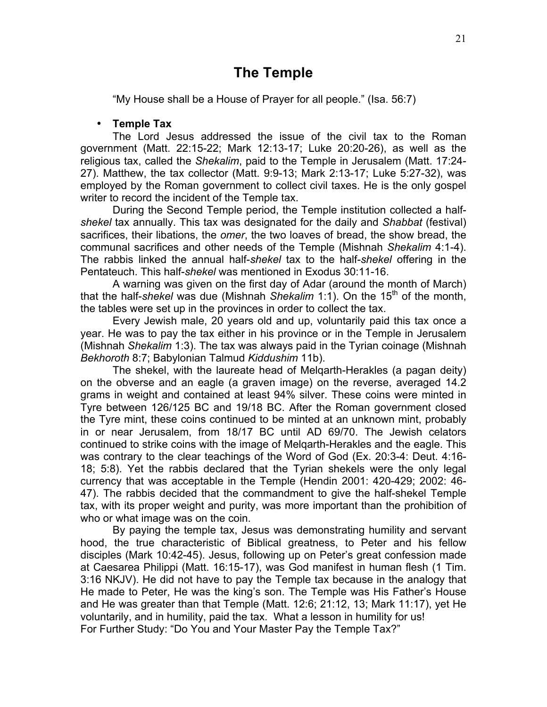## **The Temple**

"My House shall be a House of Prayer for all people." (Isa. 56:7)

#### • **Temple Tax**

The Lord Jesus addressed the issue of the civil tax to the Roman government (Matt. 22:15-22; Mark 12:13-17; Luke 20:20-26), as well as the religious tax, called the *Shekalim*, paid to the Temple in Jerusalem (Matt. 17:24- 27). Matthew, the tax collector (Matt. 9:9-13; Mark 2:13-17; Luke 5:27-32), was employed by the Roman government to collect civil taxes. He is the only gospel writer to record the incident of the Temple tax.

During the Second Temple period, the Temple institution collected a half*shekel* tax annually. This tax was designated for the daily and *Shabbat* (festival) sacrifices, their libations, the *omer*, the two loaves of bread, the show bread, the communal sacrifices and other needs of the Temple (Mishnah *Shekalim* 4:1-4). The rabbis linked the annual half-*shekel* tax to the half-*shekel* offering in the Pentateuch. This half-*shekel* was mentioned in Exodus 30:11-16.

A warning was given on the first day of Adar (around the month of March) that the half-*shekel* was due (Mishnah *Shekalim* 1:1). On the 15<sup>th</sup> of the month, the tables were set up in the provinces in order to collect the tax.

Every Jewish male, 20 years old and up, voluntarily paid this tax once a year. He was to pay the tax either in his province or in the Temple in Jerusalem (Mishnah *Shekalim* 1:3). The tax was always paid in the Tyrian coinage (Mishnah *Bekhoroth* 8:7; Babylonian Talmud *Kiddushim* 11b).

The shekel, with the laureate head of Melqarth-Herakles (a pagan deity) on the obverse and an eagle (a graven image) on the reverse, averaged 14.2 grams in weight and contained at least 94% silver. These coins were minted in Tyre between 126/125 BC and 19/18 BC. After the Roman government closed the Tyre mint, these coins continued to be minted at an unknown mint, probably in or near Jerusalem, from 18/17 BC until AD 69/70. The Jewish celators continued to strike coins with the image of Melqarth-Herakles and the eagle. This was contrary to the clear teachings of the Word of God (Ex. 20:3-4: Deut. 4:16- 18; 5:8). Yet the rabbis declared that the Tyrian shekels were the only legal currency that was acceptable in the Temple (Hendin 2001: 420-429; 2002: 46- 47). The rabbis decided that the commandment to give the half-shekel Temple tax, with its proper weight and purity, was more important than the prohibition of who or what image was on the coin.

By paying the temple tax, Jesus was demonstrating humility and servant hood, the true characteristic of Biblical greatness, to Peter and his fellow disciples (Mark 10:42-45). Jesus, following up on Peter's great confession made at Caesarea Philippi (Matt. 16:15-17), was God manifest in human flesh (1 Tim. 3:16 NKJV). He did not have to pay the Temple tax because in the analogy that He made to Peter, He was the king's son. The Temple was His Father's House and He was greater than that Temple (Matt. 12:6; 21:12, 13; Mark 11:17), yet He voluntarily, and in humility, paid the tax. What a lesson in humility for us! For Further Study: "Do You and Your Master Pay the Temple Tax?"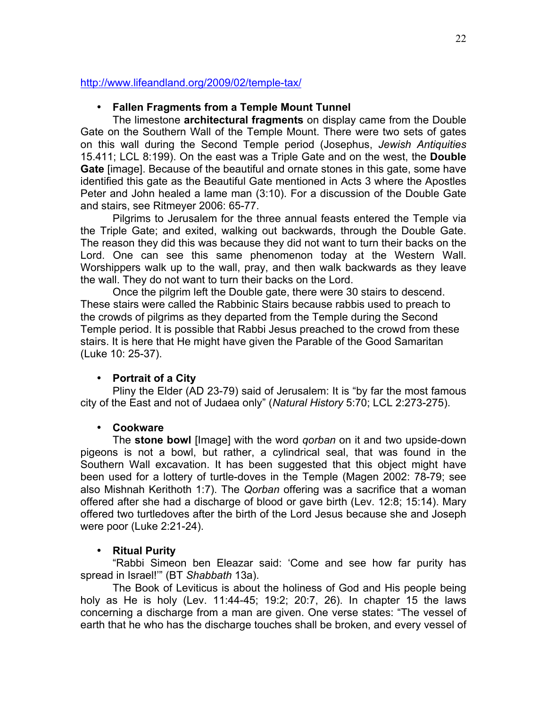#### http://www.lifeandland.org/2009/02/temple-tax/

## • **Fallen Fragments from a Temple Mount Tunnel**

The limestone **architectural fragments** on display came from the Double Gate on the Southern Wall of the Temple Mount. There were two sets of gates on this wall during the Second Temple period (Josephus, *Jewish Antiquities* 15.411; LCL 8:199). On the east was a Triple Gate and on the west, the **Double Gate** [image]. Because of the beautiful and ornate stones in this gate, some have identified this gate as the Beautiful Gate mentioned in Acts 3 where the Apostles Peter and John healed a lame man (3:10). For a discussion of the Double Gate and stairs, see Ritmeyer 2006: 65-77.

Pilgrims to Jerusalem for the three annual feasts entered the Temple via the Triple Gate; and exited, walking out backwards, through the Double Gate. The reason they did this was because they did not want to turn their backs on the Lord. One can see this same phenomenon today at the Western Wall. Worshippers walk up to the wall, pray, and then walk backwards as they leave the wall. They do not want to turn their backs on the Lord.

Once the pilgrim left the Double gate, there were 30 stairs to descend. These stairs were called the Rabbinic Stairs because rabbis used to preach to the crowds of pilgrims as they departed from the Temple during the Second Temple period. It is possible that Rabbi Jesus preached to the crowd from these stairs. It is here that He might have given the Parable of the Good Samaritan (Luke 10: 25-37).

## • **Portrait of a City**

Pliny the Elder (AD 23-79) said of Jerusalem: It is "by far the most famous city of the East and not of Judaea only" (*Natural History* 5:70; LCL 2:273-275).

## • **Cookware**

The **stone bowl** [Image] with the word *qorban* on it and two upside-down pigeons is not a bowl, but rather, a cylindrical seal, that was found in the Southern Wall excavation. It has been suggested that this object might have been used for a lottery of turtle-doves in the Temple (Magen 2002: 78-79; see also Mishnah Kerithoth 1:7). The *Qorban* offering was a sacrifice that a woman offered after she had a discharge of blood or gave birth (Lev. 12:8; 15:14). Mary offered two turtledoves after the birth of the Lord Jesus because she and Joseph were poor (Luke 2:21-24).

## • **Ritual Purity**

"Rabbi Simeon ben Eleazar said: 'Come and see how far purity has spread in Israel!'" (BT *Shabbath* 13a).

The Book of Leviticus is about the holiness of God and His people being holy as He is holy (Lev. 11:44-45; 19:2; 20:7, 26). In chapter 15 the laws concerning a discharge from a man are given. One verse states: "The vessel of earth that he who has the discharge touches shall be broken, and every vessel of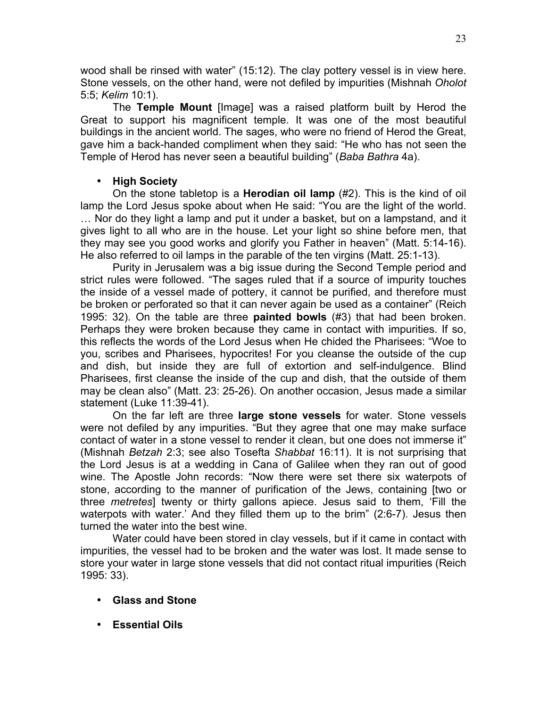wood shall be rinsed with water" (15:12). The clay pottery vessel is in view here. Stone vessels, on the other hand, were not defiled by impurities (Mishnah *Oholot* 5:5; *Kelim* 10:1).

The **Temple Mount** [Image] was a raised platform built by Herod the Great to support his magnificent temple. It was one of the most beautiful buildings in the ancient world. The sages, who were no friend of Herod the Great, gave him a back-handed compliment when they said: "He who has not seen the Temple of Herod has never seen a beautiful building" (*Baba Bathra* 4a).

## • **High Society**

On the stone tabletop is a **Herodian oil lamp** (#2). This is the kind of oil lamp the Lord Jesus spoke about when He said: "You are the light of the world. … Nor do they light a lamp and put it under a basket, but on a lampstand, and it gives light to all who are in the house. Let your light so shine before men, that they may see you good works and glorify you Father in heaven" (Matt. 5:14-16). He also referred to oil lamps in the parable of the ten virgins (Matt. 25:1-13).

Purity in Jerusalem was a big issue during the Second Temple period and strict rules were followed. "The sages ruled that if a source of impurity touches the inside of a vessel made of pottery, it cannot be purified, and therefore must be broken or perforated so that it can never again be used as a container" (Reich 1995: 32). On the table are three **painted bowls** (#3) that had been broken. Perhaps they were broken because they came in contact with impurities. If so, this reflects the words of the Lord Jesus when He chided the Pharisees: "Woe to you, scribes and Pharisees, hypocrites! For you cleanse the outside of the cup and dish, but inside they are full of extortion and self-indulgence. Blind Pharisees, first cleanse the inside of the cup and dish, that the outside of them may be clean also" (Matt. 23: 25-26). On another occasion, Jesus made a similar statement (Luke 11:39-41).

On the far left are three **large stone vessels** for water. Stone vessels were not defiled by any impurities. "But they agree that one may make surface contact of water in a stone vessel to render it clean, but one does not immerse it" (Mishnah *Betzah* 2:3; see also Tosefta *Shabbat* 16:11). It is not surprising that the Lord Jesus is at a wedding in Cana of Galilee when they ran out of good wine. The Apostle John records: "Now there were set there six waterpots of stone, according to the manner of purification of the Jews, containing [two or three *metretes*] twenty or thirty gallons apiece. Jesus said to them, 'Fill the waterpots with water.' And they filled them up to the brim" (2:6-7). Jesus then turned the water into the best wine.

Water could have been stored in clay vessels, but if it came in contact with impurities, the vessel had to be broken and the water was lost. It made sense to store your water in large stone vessels that did not contact ritual impurities (Reich 1995: 33).

- **Glass and Stone**
- **Essential Oils**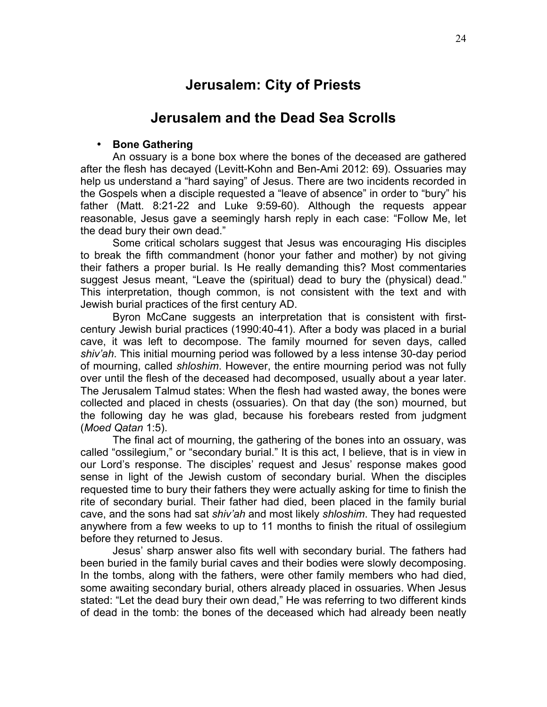# **Jerusalem: City of Priests**

## **Jerusalem and the Dead Sea Scrolls**

### • **Bone Gathering**

An ossuary is a bone box where the bones of the deceased are gathered after the flesh has decayed (Levitt-Kohn and Ben-Ami 2012: 69). Ossuaries may help us understand a "hard saying" of Jesus. There are two incidents recorded in the Gospels when a disciple requested a "leave of absence" in order to "bury" his father (Matt. 8:21-22 and Luke 9:59-60). Although the requests appear reasonable, Jesus gave a seemingly harsh reply in each case: "Follow Me, let the dead bury their own dead."

Some critical scholars suggest that Jesus was encouraging His disciples to break the fifth commandment (honor your father and mother) by not giving their fathers a proper burial. Is He really demanding this? Most commentaries suggest Jesus meant, "Leave the (spiritual) dead to bury the (physical) dead." This interpretation, though common, is not consistent with the text and with Jewish burial practices of the first century AD.

Byron McCane suggests an interpretation that is consistent with firstcentury Jewish burial practices (1990:40-41). After a body was placed in a burial cave, it was left to decompose. The family mourned for seven days, called *shiv'ah*. This initial mourning period was followed by a less intense 30-day period of mourning, called *shloshim*. However, the entire mourning period was not fully over until the flesh of the deceased had decomposed, usually about a year later. The Jerusalem Talmud states: When the flesh had wasted away, the bones were collected and placed in chests (ossuaries). On that day (the son) mourned, but the following day he was glad, because his forebears rested from judgment (*Moed Qatan* 1:5).

The final act of mourning, the gathering of the bones into an ossuary, was called "ossilegium," or "secondary burial." It is this act, I believe, that is in view in our Lord's response. The disciples' request and Jesus' response makes good sense in light of the Jewish custom of secondary burial. When the disciples requested time to bury their fathers they were actually asking for time to finish the rite of secondary burial. Their father had died, been placed in the family burial cave, and the sons had sat *shiv'ah* and most likely *shloshim*. They had requested anywhere from a few weeks to up to 11 months to finish the ritual of ossilegium before they returned to Jesus.

Jesus' sharp answer also fits well with secondary burial. The fathers had been buried in the family burial caves and their bodies were slowly decomposing. In the tombs, along with the fathers, were other family members who had died, some awaiting secondary burial, others already placed in ossuaries. When Jesus stated: "Let the dead bury their own dead," He was referring to two different kinds of dead in the tomb: the bones of the deceased which had already been neatly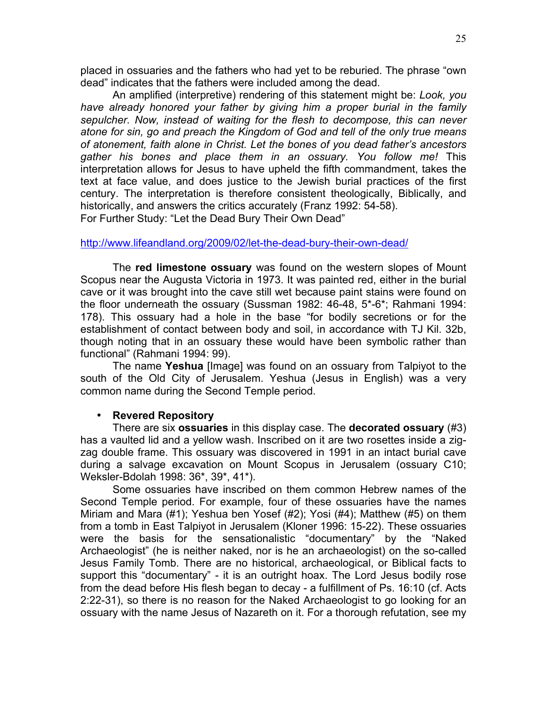placed in ossuaries and the fathers who had yet to be reburied. The phrase "own dead" indicates that the fathers were included among the dead.

An amplified (interpretive) rendering of this statement might be: *Look, you have already honored your father by giving him a proper burial in the family sepulcher. Now, instead of waiting for the flesh to decompose, this can never atone for sin, go and preach the Kingdom of God and tell of the only true means of atonement, faith alone in Christ. Let the bones of you dead father's ancestors gather his bones and place them in an ossuary. You follow me!* This interpretation allows for Jesus to have upheld the fifth commandment, takes the text at face value, and does justice to the Jewish burial practices of the first century. The interpretation is therefore consistent theologically, Biblically, and historically, and answers the critics accurately (Franz 1992: 54-58). For Further Study: "Let the Dead Bury Their Own Dead"

#### http://www.lifeandland.org/2009/02/let-the-dead-bury-their-own-dead/

The **red limestone ossuary** was found on the western slopes of Mount Scopus near the Augusta Victoria in 1973. It was painted red, either in the burial cave or it was brought into the cave still wet because paint stains were found on the floor underneath the ossuary (Sussman 1982: 46-48, 5\*-6\*; Rahmani 1994: 178). This ossuary had a hole in the base "for bodily secretions or for the establishment of contact between body and soil, in accordance with TJ Kil. 32b, though noting that in an ossuary these would have been symbolic rather than functional" (Rahmani 1994: 99).

The name **Yeshua** [Image] was found on an ossuary from Talpiyot to the south of the Old City of Jerusalem. Yeshua (Jesus in English) was a very common name during the Second Temple period.

#### • **Revered Repository**

There are six **ossuaries** in this display case. The **decorated ossuary** (#3) has a vaulted lid and a yellow wash. Inscribed on it are two rosettes inside a zigzag double frame. This ossuary was discovered in 1991 in an intact burial cave during a salvage excavation on Mount Scopus in Jerusalem (ossuary C10; Weksler-Bdolah 1998: 36\*, 39\*, 41\*).

Some ossuaries have inscribed on them common Hebrew names of the Second Temple period. For example, four of these ossuaries have the names Miriam and Mara (#1); Yeshua ben Yosef (#2); Yosi (#4); Matthew (#5) on them from a tomb in East Talpiyot in Jerusalem (Kloner 1996: 15-22). These ossuaries were the basis for the sensationalistic "documentary" by the "Naked Archaeologist" (he is neither naked, nor is he an archaeologist) on the so-called Jesus Family Tomb. There are no historical, archaeological, or Biblical facts to support this "documentary" - it is an outright hoax. The Lord Jesus bodily rose from the dead before His flesh began to decay - a fulfillment of Ps. 16:10 (cf. Acts 2:22-31), so there is no reason for the Naked Archaeologist to go looking for an ossuary with the name Jesus of Nazareth on it. For a thorough refutation, see my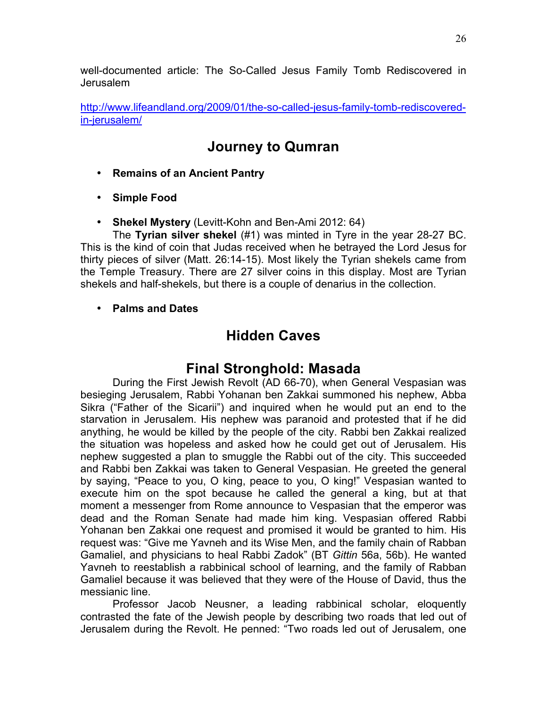well-documented article: The So-Called Jesus Family Tomb Rediscovered in Jerusalem

http://www.lifeandland.org/2009/01/the-so-called-jesus-family-tomb-rediscoveredin-jerusalem/

# **Journey to Qumran**

- **Remains of an Ancient Pantry**
- **Simple Food**
- **Shekel Mystery** (Levitt-Kohn and Ben-Ami 2012: 64)

The **Tyrian silver shekel** (#1) was minted in Tyre in the year 28-27 BC. This is the kind of coin that Judas received when he betrayed the Lord Jesus for thirty pieces of silver (Matt. 26:14-15). Most likely the Tyrian shekels came from the Temple Treasury. There are 27 silver coins in this display. Most are Tyrian shekels and half-shekels, but there is a couple of denarius in the collection.

• **Palms and Dates**

# **Hidden Caves**

## **Final Stronghold: Masada**

During the First Jewish Revolt (AD 66-70), when General Vespasian was besieging Jerusalem, Rabbi Yohanan ben Zakkai summoned his nephew, Abba Sikra ("Father of the Sicarii") and inquired when he would put an end to the starvation in Jerusalem. His nephew was paranoid and protested that if he did anything, he would be killed by the people of the city. Rabbi ben Zakkai realized the situation was hopeless and asked how he could get out of Jerusalem. His nephew suggested a plan to smuggle the Rabbi out of the city. This succeeded and Rabbi ben Zakkai was taken to General Vespasian. He greeted the general by saying, "Peace to you, O king, peace to you, O king!" Vespasian wanted to execute him on the spot because he called the general a king, but at that moment a messenger from Rome announce to Vespasian that the emperor was dead and the Roman Senate had made him king. Vespasian offered Rabbi Yohanan ben Zakkai one request and promised it would be granted to him. His request was: "Give me Yavneh and its Wise Men, and the family chain of Rabban Gamaliel, and physicians to heal Rabbi Zadok" (BT *Gittin* 56a, 56b). He wanted Yavneh to reestablish a rabbinical school of learning, and the family of Rabban Gamaliel because it was believed that they were of the House of David, thus the messianic line.

Professor Jacob Neusner, a leading rabbinical scholar, eloquently contrasted the fate of the Jewish people by describing two roads that led out of Jerusalem during the Revolt. He penned: "Two roads led out of Jerusalem, one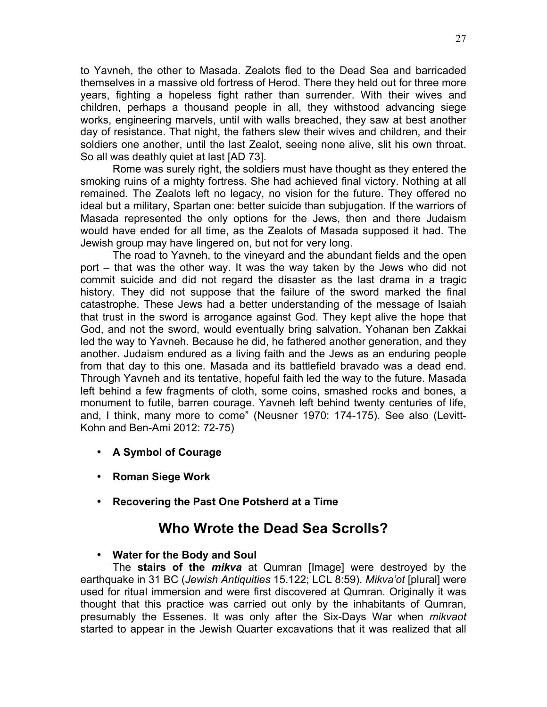to Yavneh, the other to Masada. Zealots fled to the Dead Sea and barricaded themselves in a massive old fortress of Herod. There they held out for three more years, fighting a hopeless fight rather than surrender. With their wives and children, perhaps a thousand people in all, they withstood advancing siege works, engineering marvels, until with walls breached, they saw at best another day of resistance. That night, the fathers slew their wives and children, and their soldiers one another, until the last Zealot, seeing none alive, slit his own throat. So all was deathly quiet at last [AD 73].

Rome was surely right, the soldiers must have thought as they entered the smoking ruins of a mighty fortress. She had achieved final victory. Nothing at all remained. The Zealots left no legacy, no vision for the future. They offered no ideal but a military, Spartan one: better suicide than subjugation. If the warriors of Masada represented the only options for the Jews, then and there Judaism would have ended for all time, as the Zealots of Masada supposed it had. The Jewish group may have lingered on, but not for very long.

The road to Yavneh, to the vineyard and the abundant fields and the open port – that was the other way. It was the way taken by the Jews who did not commit suicide and did not regard the disaster as the last drama in a tragic history. They did not suppose that the failure of the sword marked the final catastrophe. These Jews had a better understanding of the message of Isaiah that trust in the sword is arrogance against God. They kept alive the hope that God, and not the sword, would eventually bring salvation. Yohanan ben Zakkai led the way to Yavneh. Because he did, he fathered another generation, and they another. Judaism endured as a living faith and the Jews as an enduring people from that day to this one. Masada and its battlefield bravado was a dead end. Through Yavneh and its tentative, hopeful faith led the way to the future. Masada left behind a few fragments of cloth, some coins, smashed rocks and bones, a monument to futile, barren courage. Yavneh left behind twenty centuries of life, and, I think, many more to come" (Neusner 1970: 174-175). See also (Levitt-Kohn and Ben-Ami 2012: 72-75)

- **A Symbol of Courage**
- **Roman Siege Work**
- **Recovering the Past One Potsherd at a Time**

## **Who Wrote the Dead Sea Scrolls?**

## • **Water for the Body and Soul**

The **stairs of the** *mikva* at Qumran [Image] were destroyed by the earthquake in 31 BC (*Jewish Antiquities* 15.122; LCL 8:59). *Mikva'ot* [plural] were used for ritual immersion and were first discovered at Qumran. Originally it was thought that this practice was carried out only by the inhabitants of Qumran, presumably the Essenes. It was only after the Six-Days War when *mikvaot* started to appear in the Jewish Quarter excavations that it was realized that all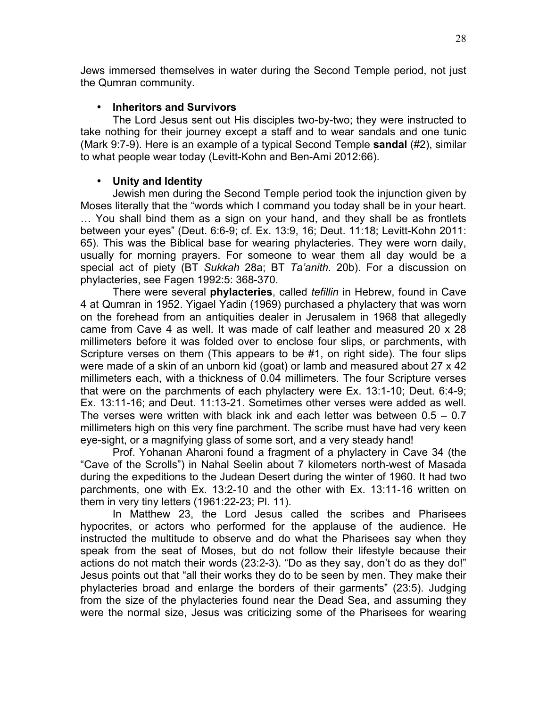Jews immersed themselves in water during the Second Temple period, not just the Qumran community.

## • **Inheritors and Survivors**

The Lord Jesus sent out His disciples two-by-two; they were instructed to take nothing for their journey except a staff and to wear sandals and one tunic (Mark 9:7-9). Here is an example of a typical Second Temple **sandal** (#2), similar to what people wear today (Levitt-Kohn and Ben-Ami 2012:66).

## • **Unity and Identity**

Jewish men during the Second Temple period took the injunction given by Moses literally that the "words which I command you today shall be in your heart. … You shall bind them as a sign on your hand, and they shall be as frontlets between your eyes" (Deut. 6:6-9; cf. Ex. 13:9, 16; Deut. 11:18; Levitt-Kohn 2011: 65). This was the Biblical base for wearing phylacteries. They were worn daily, usually for morning prayers. For someone to wear them all day would be a special act of piety (BT *Sukkah* 28a; BT *Ta'anith*. 20b). For a discussion on phylacteries, see Fagen 1992:5: 368-370.

There were several **phylacteries**, called *tefillin* in Hebrew, found in Cave 4 at Qumran in 1952. Yigael Yadin (1969) purchased a phylactery that was worn on the forehead from an antiquities dealer in Jerusalem in 1968 that allegedly came from Cave 4 as well. It was made of calf leather and measured 20 x 28 millimeters before it was folded over to enclose four slips, or parchments, with Scripture verses on them (This appears to be #1, on right side). The four slips were made of a skin of an unborn kid (goat) or lamb and measured about 27 x 42 millimeters each, with a thickness of 0.04 millimeters. The four Scripture verses that were on the parchments of each phylactery were Ex. 13:1-10; Deut. 6:4-9; Ex. 13:11-16; and Deut. 11:13-21. Sometimes other verses were added as well. The verses were written with black ink and each letter was between  $0.5 - 0.7$ millimeters high on this very fine parchment. The scribe must have had very keen eye-sight, or a magnifying glass of some sort, and a very steady hand!

Prof. Yohanan Aharoni found a fragment of a phylactery in Cave 34 (the "Cave of the Scrolls") in Nahal Seelin about 7 kilometers north-west of Masada during the expeditions to the Judean Desert during the winter of 1960. It had two parchments, one with Ex. 13:2-10 and the other with Ex. 13:11-16 written on them in very tiny letters (1961:22-23; Pl. 11).

In Matthew 23, the Lord Jesus called the scribes and Pharisees hypocrites, or actors who performed for the applause of the audience. He instructed the multitude to observe and do what the Pharisees say when they speak from the seat of Moses, but do not follow their lifestyle because their actions do not match their words (23:2-3). "Do as they say, don't do as they do!" Jesus points out that "all their works they do to be seen by men. They make their phylacteries broad and enlarge the borders of their garments" (23:5). Judging from the size of the phylacteries found near the Dead Sea, and assuming they were the normal size, Jesus was criticizing some of the Pharisees for wearing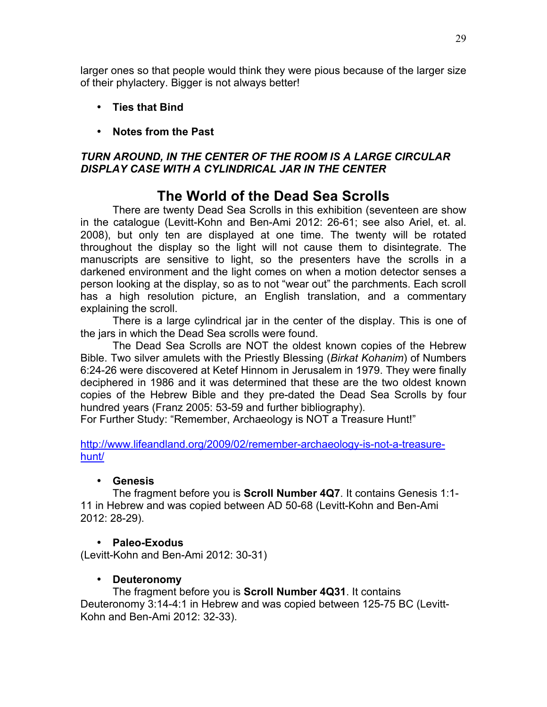larger ones so that people would think they were pious because of the larger size of their phylactery. Bigger is not always better!

- **Ties that Bind**
- **Notes from the Past**

## *TURN AROUND, IN THE CENTER OF THE ROOM IS A LARGE CIRCULAR DISPLAY CASE WITH A CYLINDRICAL JAR IN THE CENTER*

## **The World of the Dead Sea Scrolls**

There are twenty Dead Sea Scrolls in this exhibition (seventeen are show in the catalogue (Levitt-Kohn and Ben-Ami 2012: 26-61; see also Ariel, et. al. 2008), but only ten are displayed at one time. The twenty will be rotated throughout the display so the light will not cause them to disintegrate. The manuscripts are sensitive to light, so the presenters have the scrolls in a darkened environment and the light comes on when a motion detector senses a person looking at the display, so as to not "wear out" the parchments. Each scroll has a high resolution picture, an English translation, and a commentary explaining the scroll.

There is a large cylindrical jar in the center of the display. This is one of the jars in which the Dead Sea scrolls were found.

The Dead Sea Scrolls are NOT the oldest known copies of the Hebrew Bible. Two silver amulets with the Priestly Blessing (*Birkat Kohanim*) of Numbers 6:24-26 were discovered at Ketef Hinnom in Jerusalem in 1979. They were finally deciphered in 1986 and it was determined that these are the two oldest known copies of the Hebrew Bible and they pre-dated the Dead Sea Scrolls by four hundred years (Franz 2005: 53-59 and further bibliography).

For Further Study: "Remember, Archaeology is NOT a Treasure Hunt!"

http://www.lifeandland.org/2009/02/remember-archaeology-is-not-a-treasurehunt/

## • **Genesis**

The fragment before you is **Scroll Number 4Q7**. It contains Genesis 1:1- 11 in Hebrew and was copied between AD 50-68 (Levitt-Kohn and Ben-Ami 2012: 28-29).

## • **Paleo-Exodus**

(Levitt-Kohn and Ben-Ami 2012: 30-31)

## • **Deuteronomy**

The fragment before you is **Scroll Number 4Q31**. It contains Deuteronomy 3:14-4:1 in Hebrew and was copied between 125-75 BC (Levitt-Kohn and Ben-Ami 2012: 32-33).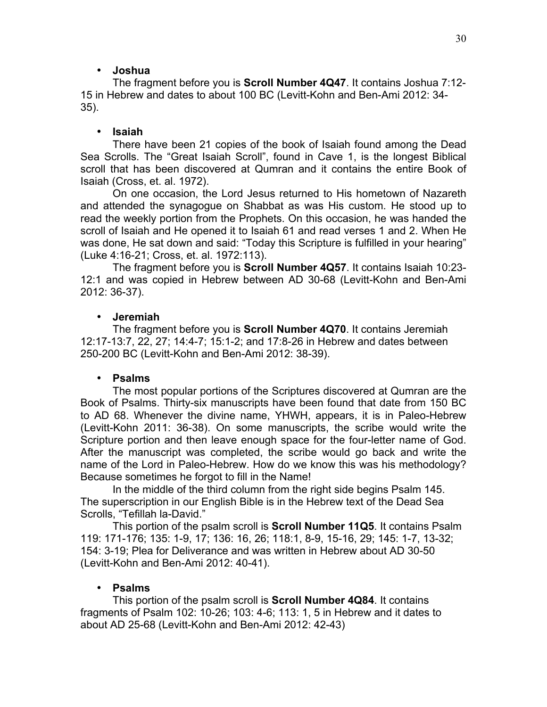## • **Joshua**

The fragment before you is **Scroll Number 4Q47**. It contains Joshua 7:12- 15 in Hebrew and dates to about 100 BC (Levitt-Kohn and Ben-Ami 2012: 34- 35).

## • **Isaiah**

There have been 21 copies of the book of Isaiah found among the Dead Sea Scrolls. The "Great Isaiah Scroll", found in Cave 1, is the longest Biblical scroll that has been discovered at Qumran and it contains the entire Book of Isaiah (Cross, et. al. 1972).

On one occasion, the Lord Jesus returned to His hometown of Nazareth and attended the synagogue on Shabbat as was His custom. He stood up to read the weekly portion from the Prophets. On this occasion, he was handed the scroll of Isaiah and He opened it to Isaiah 61 and read verses 1 and 2. When He was done, He sat down and said: "Today this Scripture is fulfilled in your hearing" (Luke 4:16-21; Cross, et. al. 1972:113).

The fragment before you is **Scroll Number 4Q57**. It contains Isaiah 10:23- 12:1 and was copied in Hebrew between AD 30-68 (Levitt-Kohn and Ben-Ami 2012: 36-37).

#### • **Jeremiah**

The fragment before you is **Scroll Number 4Q70**. It contains Jeremiah 12:17-13:7, 22, 27; 14:4-7; 15:1-2; and 17:8-26 in Hebrew and dates between 250-200 BC (Levitt-Kohn and Ben-Ami 2012: 38-39).

#### • **Psalms**

The most popular portions of the Scriptures discovered at Qumran are the Book of Psalms. Thirty-six manuscripts have been found that date from 150 BC to AD 68. Whenever the divine name, YHWH, appears, it is in Paleo-Hebrew (Levitt-Kohn 2011: 36-38). On some manuscripts, the scribe would write the Scripture portion and then leave enough space for the four-letter name of God. After the manuscript was completed, the scribe would go back and write the name of the Lord in Paleo-Hebrew. How do we know this was his methodology? Because sometimes he forgot to fill in the Name!

In the middle of the third column from the right side begins Psalm 145. The superscription in our English Bible is in the Hebrew text of the Dead Sea Scrolls, "Tefillah la-David."

This portion of the psalm scroll is **Scroll Number 11Q5**. It contains Psalm 119: 171-176; 135: 1-9, 17; 136: 16, 26; 118:1, 8-9, 15-16, 29; 145: 1-7, 13-32; 154: 3-19; Plea for Deliverance and was written in Hebrew about AD 30-50 (Levitt-Kohn and Ben-Ami 2012: 40-41).

## • **Psalms**

This portion of the psalm scroll is **Scroll Number 4Q84**. It contains fragments of Psalm 102: 10-26; 103: 4-6; 113: 1, 5 in Hebrew and it dates to about AD 25-68 (Levitt-Kohn and Ben-Ami 2012: 42-43)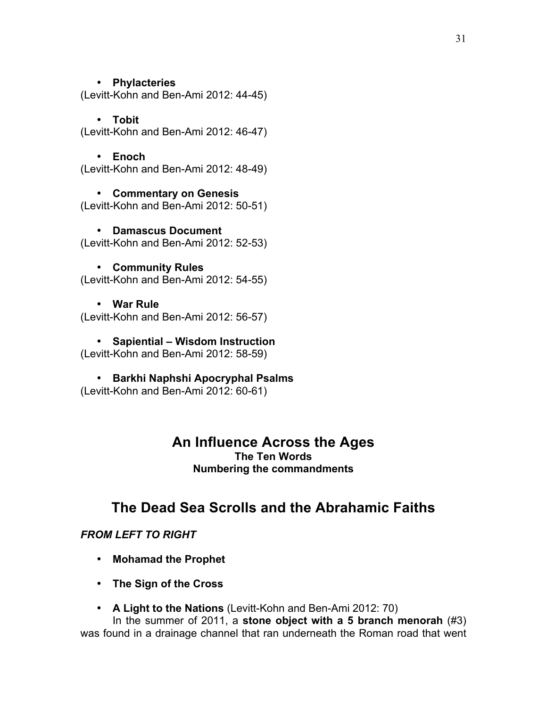### • **Phylacteries**

(Levitt-Kohn and Ben-Ami 2012: 44-45)

## • **Tobit**

(Levitt-Kohn and Ben-Ami 2012: 46-47)

#### • **Enoch**

(Levitt-Kohn and Ben-Ami 2012: 48-49)

• **Commentary on Genesis** (Levitt-Kohn and Ben-Ami 2012: 50-51)

• **Damascus Document** (Levitt-Kohn and Ben-Ami 2012: 52-53)

#### • **Community Rules** (Levitt-Kohn and Ben-Ami 2012: 54-55)

## • **War Rule**

(Levitt-Kohn and Ben-Ami 2012: 56-57)

• **Sapiential – Wisdom Instruction** (Levitt-Kohn and Ben-Ami 2012: 58-59)

• **Barkhi Naphshi Apocryphal Psalms**

(Levitt-Kohn and Ben-Ami 2012: 60-61)

## **An Influence Across the Ages The Ten Words**

**Numbering the commandments**

# **The Dead Sea Scrolls and the Abrahamic Faiths**

## *FROM LEFT TO RIGHT*

- **Mohamad the Prophet**
- **The Sign of the Cross**
- **A Light to the Nations** (Levitt-Kohn and Ben-Ami 2012: 70)

In the summer of 2011, a **stone object with a 5 branch menorah** (#3) was found in a drainage channel that ran underneath the Roman road that went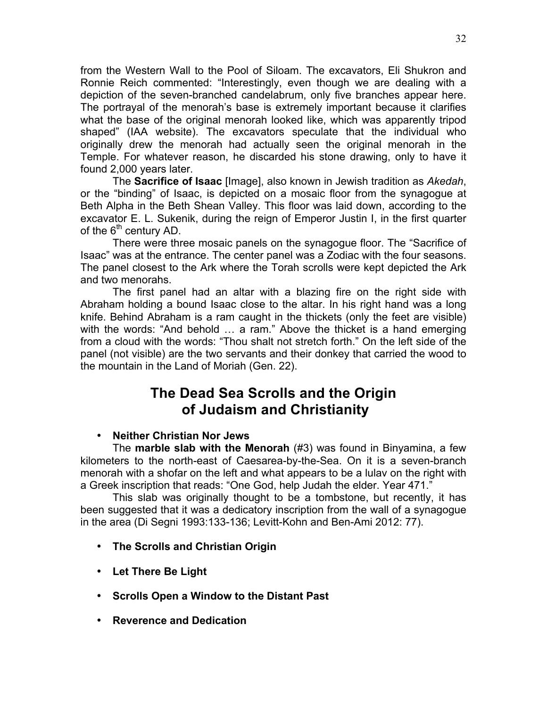from the Western Wall to the Pool of Siloam. The excavators, Eli Shukron and Ronnie Reich commented: "Interestingly, even though we are dealing with a depiction of the seven-branched candelabrum, only five branches appear here. The portrayal of the menorah's base is extremely important because it clarifies what the base of the original menorah looked like, which was apparently tripod shaped" (IAA website). The excavators speculate that the individual who originally drew the menorah had actually seen the original menorah in the Temple. For whatever reason, he discarded his stone drawing, only to have it found 2,000 years later.

The **Sacrifice of Isaac** [Image], also known in Jewish tradition as *Akedah*, or the "binding" of Isaac, is depicted on a mosaic floor from the synagogue at Beth Alpha in the Beth Shean Valley. This floor was laid down, according to the excavator E. L. Sukenik, during the reign of Emperor Justin I, in the first quarter of the  $6<sup>th</sup>$  century AD.

There were three mosaic panels on the synagogue floor. The "Sacrifice of Isaac" was at the entrance. The center panel was a Zodiac with the four seasons. The panel closest to the Ark where the Torah scrolls were kept depicted the Ark and two menorahs.

The first panel had an altar with a blazing fire on the right side with Abraham holding a bound Isaac close to the altar. In his right hand was a long knife. Behind Abraham is a ram caught in the thickets (only the feet are visible) with the words: "And behold … a ram." Above the thicket is a hand emerging from a cloud with the words: "Thou shalt not stretch forth." On the left side of the panel (not visible) are the two servants and their donkey that carried the wood to the mountain in the Land of Moriah (Gen. 22).

# **The Dead Sea Scrolls and the Origin of Judaism and Christianity**

## • **Neither Christian Nor Jews**

The **marble slab with the Menorah** (#3) was found in Binyamina, a few kilometers to the north-east of Caesarea-by-the-Sea. On it is a seven-branch menorah with a shofar on the left and what appears to be a lulav on the right with a Greek inscription that reads: "One God, help Judah the elder. Year 471."

This slab was originally thought to be a tombstone, but recently, it has been suggested that it was a dedicatory inscription from the wall of a synagogue in the area (Di Segni 1993:133-136; Levitt-Kohn and Ben-Ami 2012: 77).

- **The Scrolls and Christian Origin**
- **Let There Be Light**
- **Scrolls Open a Window to the Distant Past**
- **Reverence and Dedication**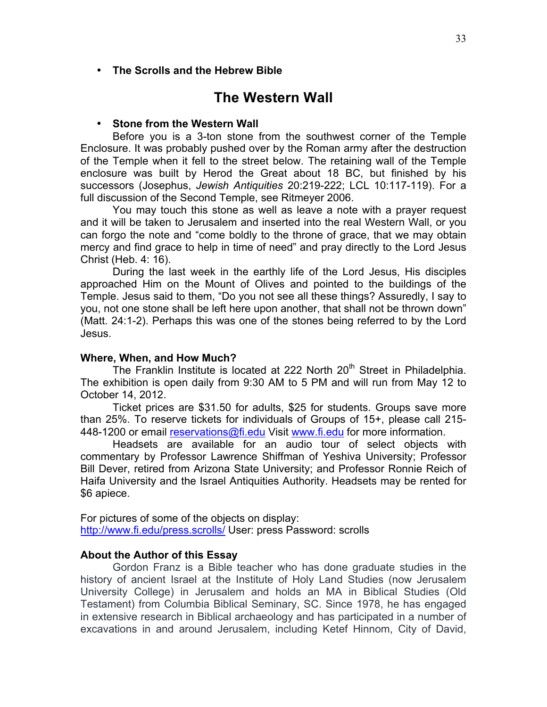• **The Scrolls and the Hebrew Bible**

## **The Western Wall**

#### • **Stone from the Western Wall**

Before you is a 3-ton stone from the southwest corner of the Temple Enclosure. It was probably pushed over by the Roman army after the destruction of the Temple when it fell to the street below. The retaining wall of the Temple enclosure was built by Herod the Great about 18 BC, but finished by his successors (Josephus, *Jewish Antiquities* 20:219-222; LCL 10:117-119). For a full discussion of the Second Temple, see Ritmeyer 2006.

You may touch this stone as well as leave a note with a prayer request and it will be taken to Jerusalem and inserted into the real Western Wall, or you can forgo the note and "come boldly to the throne of grace, that we may obtain mercy and find grace to help in time of need" and pray directly to the Lord Jesus Christ (Heb. 4: 16).

During the last week in the earthly life of the Lord Jesus, His disciples approached Him on the Mount of Olives and pointed to the buildings of the Temple. Jesus said to them, "Do you not see all these things? Assuredly, I say to you, not one stone shall be left here upon another, that shall not be thrown down" (Matt. 24:1-2). Perhaps this was one of the stones being referred to by the Lord Jesus.

#### **Where, When, and How Much?**

The Franklin Institute is located at 222 North  $20<sup>th</sup>$  Street in Philadelphia. The exhibition is open daily from 9:30 AM to 5 PM and will run from May 12 to October 14, 2012.

Ticket prices are \$31.50 for adults, \$25 for students. Groups save more than 25%. To reserve tickets for individuals of Groups of 15+, please call 215- 448-1200 or email reservations@fi.edu Visit www.fi.edu for more information.

Headsets are available for an audio tour of select objects with commentary by Professor Lawrence Shiffman of Yeshiva University; Professor Bill Dever, retired from Arizona State University; and Professor Ronnie Reich of Haifa University and the Israel Antiquities Authority. Headsets may be rented for \$6 apiece.

For pictures of some of the objects on display: http://www.fi.edu/press.scrolls/ User: press Password: scrolls

#### **About the Author of this Essay**

Gordon Franz is a Bible teacher who has done graduate studies in the history of ancient Israel at the Institute of Holy Land Studies (now Jerusalem University College) in Jerusalem and holds an MA in Biblical Studies (Old Testament) from Columbia Biblical Seminary, SC. Since 1978, he has engaged in extensive research in Biblical archaeology and has participated in a number of excavations in and around Jerusalem, including Ketef Hinnom, City of David,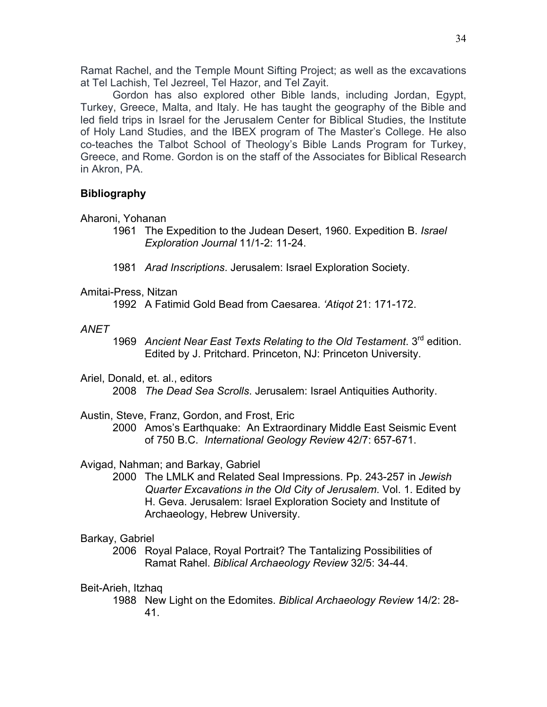Ramat Rachel, and the Temple Mount Sifting Project; as well as the excavations at Tel Lachish, Tel Jezreel, Tel Hazor, and Tel Zayit.

Gordon has also explored other Bible lands, including Jordan, Egypt, Turkey, Greece, Malta, and Italy. He has taught the geography of the Bible and led field trips in Israel for the Jerusalem Center for Biblical Studies, the Institute of Holy Land Studies, and the IBEX program of The Master's College. He also co-teaches the Talbot School of Theology's Bible Lands Program for Turkey, Greece, and Rome. Gordon is on the staff of the Associates for Biblical Research in Akron, PA.

## **Bibliography**

Aharoni, Yohanan

- 1961 The Expedition to the Judean Desert, 1960. Expedition B. *Israel Exploration Journal* 11/1-2: 11-24.
- 1981 *Arad Inscriptions*. Jerusalem: Israel Exploration Society.

Amitai-Press, Nitzan

1992 A Fatimid Gold Bead from Caesarea. *'Atiqot* 21: 171-172.

#### *ANET*

1969 *Ancient Near East Texts Relating to the Old Testament*. 3rd edition. Edited by J. Pritchard. Princeton, NJ: Princeton University.

Ariel, Donald, et. al., editors 2008 *The Dead Sea Scrolls*. Jerusalem: Israel Antiquities Authority.

- Austin, Steve, Franz, Gordon, and Frost, Eric
	- 2000 Amos's Earthquake: An Extraordinary Middle East Seismic Event of 750 B.C. *International Geology Review* 42/7: 657-671.

Avigad, Nahman; and Barkay, Gabriel

2000 The LMLK and Related Seal Impressions. Pp. 243-257 in *Jewish Quarter Excavations in the Old City of Jerusalem*. Vol. 1. Edited by H. Geva. Jerusalem: Israel Exploration Society and Institute of Archaeology, Hebrew University.

## Barkay, Gabriel

2006 Royal Palace, Royal Portrait? The Tantalizing Possibilities of Ramat Rahel. *Biblical Archaeology Review* 32/5: 34-44.

Beit-Arieh, Itzhaq

1988 New Light on the Edomites. *Biblical Archaeology Review* 14/2: 28- 41.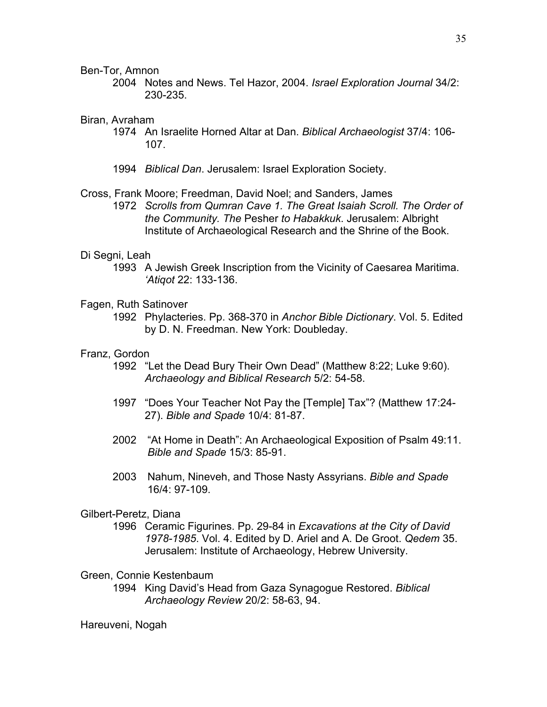Ben-Tor, Amnon

2004 Notes and News. Tel Hazor, 2004. *Israel Exploration Journal* 34/2: 230-235.

#### Biran, Avraham

- 1974 An Israelite Horned Altar at Dan. *Biblical Archaeologist* 37/4: 106- 107.
- 1994 *Biblical Dan*. Jerusalem: Israel Exploration Society.

#### Cross, Frank Moore; Freedman, David Noel; and Sanders, James

1972 *Scrolls from Qumran Cave 1. The Great Isaiah Scroll. The Order of the Community. The* Pesher *to Habakkuk*. Jerusalem: Albright Institute of Archaeological Research and the Shrine of the Book.

#### Di Segni, Leah

1993 A Jewish Greek Inscription from the Vicinity of Caesarea Maritima. *'Atiqot* 22: 133-136.

#### Fagen, Ruth Satinover

1992 Phylacteries. Pp. 368-370 in *Anchor Bible Dictionary*. Vol. 5. Edited by D. N. Freedman. New York: Doubleday.

#### Franz, Gordon

- 1992 "Let the Dead Bury Their Own Dead" (Matthew 8:22; Luke 9:60). *Archaeology and Biblical Research* 5/2: 54-58.
- 1997 "Does Your Teacher Not Pay the [Temple] Tax"? (Matthew 17:24- 27). *Bible and Spade* 10/4: 81-87.
- 2002 "At Home in Death": An Archaeological Exposition of Psalm 49:11. *Bible and Spade* 15/3: 85-91.
- 2003 Nahum, Nineveh, and Those Nasty Assyrians. *Bible and Spade* 16/4: 97-109.

#### Gilbert-Peretz, Diana

1996 Ceramic Figurines. Pp. 29-84 in *Excavations at the City of David 1978-1985*. Vol. 4. Edited by D. Ariel and A. De Groot. *Qedem* 35. Jerusalem: Institute of Archaeology, Hebrew University.

#### Green, Connie Kestenbaum

1994 King David's Head from Gaza Synagogue Restored. *Biblical Archaeology Review* 20/2: 58-63, 94.

#### Hareuveni, Nogah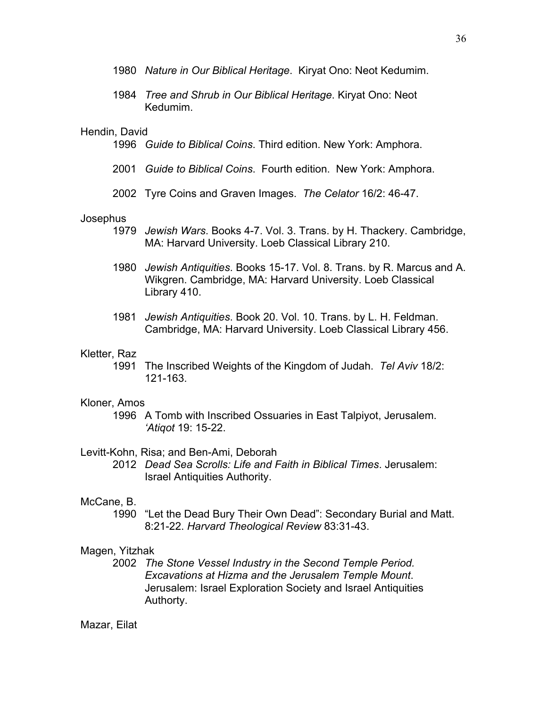- 1980 *Nature in Our Biblical Heritage*. Kiryat Ono: Neot Kedumim.
- 1984 *Tree and Shrub in Our Biblical Heritage*. Kiryat Ono: Neot Kedumim.

#### Hendin, David

- 1996 *Guide to Biblical Coins*. Third edition. New York: Amphora.
- 2001 *Guide to Biblical Coins*. Fourth edition. New York: Amphora.
- 2002 Tyre Coins and Graven Images. *The Celator* 16/2: 46-47.

#### Josephus

- 1979 *Jewish Wars*. Books 4-7. Vol. 3. Trans. by H. Thackery. Cambridge, MA: Harvard University. Loeb Classical Library 210.
- 1980 *Jewish Antiquities*. Books 15-17. Vol. 8. Trans. by R. Marcus and A. Wikgren. Cambridge, MA: Harvard University. Loeb Classical Library 410.
- 1981 *Jewish Antiquities*. Book 20. Vol. 10. Trans. by L. H. Feldman. Cambridge, MA: Harvard University. Loeb Classical Library 456.

#### Kletter, Raz

1991 The Inscribed Weights of the Kingdom of Judah. *Tel Aviv* 18/2: 121-163.

#### Kloner, Amos

1996 A Tomb with Inscribed Ossuaries in East Talpiyot, Jerusalem. *'Atiqot* 19: 15-22.

#### Levitt-Kohn, Risa; and Ben-Ami, Deborah

2012 *Dead Sea Scrolls: Life and Faith in Biblical Times*. Jerusalem: Israel Antiquities Authority.

#### McCane, B.

1990 "Let the Dead Bury Their Own Dead": Secondary Burial and Matt. 8:21-22. *Harvard Theological Review* 83:31-43.

#### Magen, Yitzhak

2002 *The Stone Vessel Industry in the Second Temple Period. Excavations at Hizma and the Jerusalem Temple Mount*. Jerusalem: Israel Exploration Society and Israel Antiquities Authorty.

#### Mazar, Eilat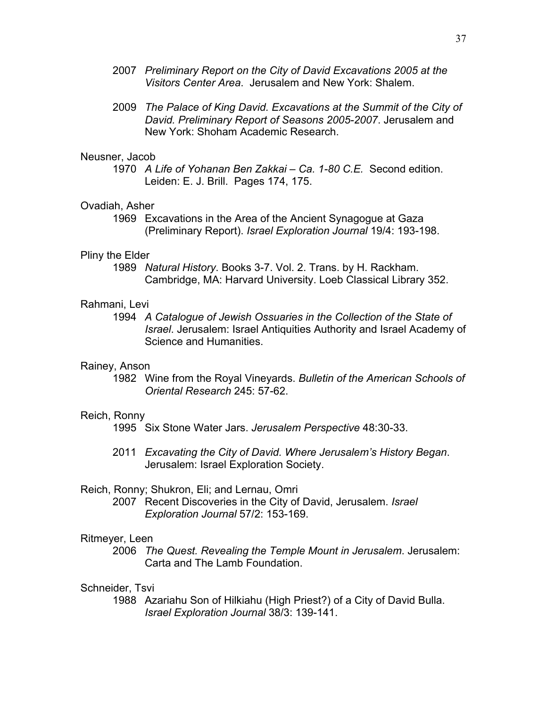- 2007 *Preliminary Report on the City of David Excavations 2005 at the Visitors Center Area*. Jerusalem and New York: Shalem.
- 2009 *The Palace of King David. Excavations at the Summit of the City of David. Preliminary Report of Seasons 2005-2007*. Jerusalem and New York: Shoham Academic Research.

#### Neusner, Jacob

1970 *A Life of Yohanan Ben Zakkai – Ca. 1-80 C.E.* Second edition. Leiden: E. J. Brill. Pages 174, 175.

#### Ovadiah, Asher

1969 Excavations in the Area of the Ancient Synagogue at Gaza (Preliminary Report). *Israel Exploration Journal* 19/4: 193-198.

#### Pliny the Elder

1989 *Natural History*. Books 3-7. Vol. 2. Trans. by H. Rackham. Cambridge, MA: Harvard University. Loeb Classical Library 352.

#### Rahmani, Levi

1994 *A Catalogue of Jewish Ossuaries in the Collection of the State of Israel*. Jerusalem: Israel Antiquities Authority and Israel Academy of Science and Humanities.

#### Rainey, Anson

1982 Wine from the Royal Vineyards. *Bulletin of the American Schools of Oriental Research* 245: 57-62.

#### Reich, Ronny

1995 Six Stone Water Jars. *Jerusalem Perspective* 48:30-33.

2011 *Excavating the City of David. Where Jerusalem's History Began*. Jerusalem: Israel Exploration Society.

#### Reich, Ronny; Shukron, Eli; and Lernau, Omri

2007 Recent Discoveries in the City of David, Jerusalem. *Israel Exploration Journal* 57/2: 153-169.

#### Ritmeyer, Leen

2006 *The Quest. Revealing the Temple Mount in Jerusalem*. Jerusalem: Carta and The Lamb Foundation.

#### Schneider, Tsvi

1988 Azariahu Son of Hilkiahu (High Priest?) of a City of David Bulla. *Israel Exploration Journal* 38/3: 139-141.